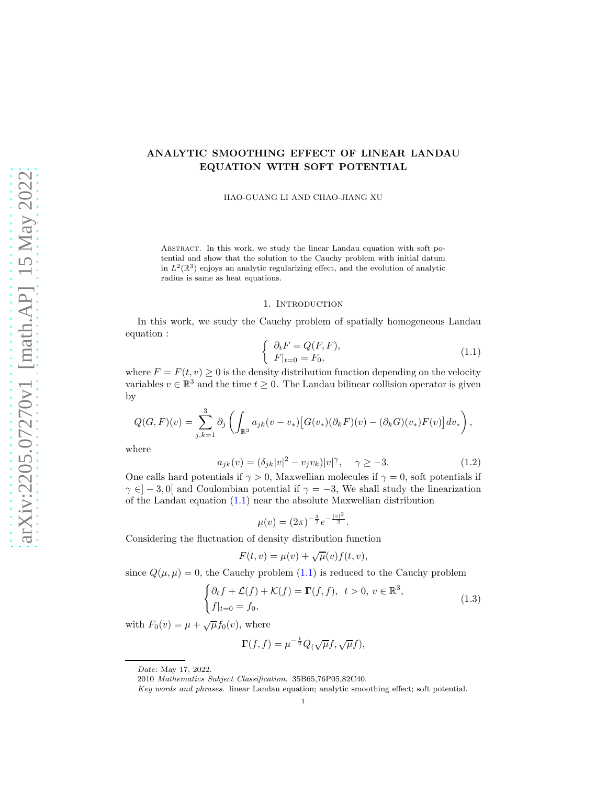# ANALYTIC SMOOTHING EFFECT OF LINEAR LANDAU EQUATION WITH SOFT POTENTIAL

HAO-GUANG LI AND CHAO-JIANG XU

Abstract. In this work, we study the linear Landau equation with soft potential and show that the solution to the Cauchy problem with initial datum in  $L^2(\mathbb{R}^3)$  enjoys an analytic regularizing effect, and the evolution of analytic radius is same as heat equations.

#### 1. INTRODUCTION

In this work, we study the Cauchy problem of spatially homogeneous Landau equation :

<span id="page-0-0"></span>
$$
\begin{cases} \n\partial_t F = Q(F, F), \\ \nF|_{t=0} = F_0, \n\end{cases} \n\tag{1.1}
$$

where  $F = F(t, v) \ge 0$  is the density distribution function depending on the velocity variables  $v \in \mathbb{R}^3$  and the time  $t \geq 0$ . The Landau bilinear collision operator is given by

$$
Q(G,F)(v) = \sum_{j,k=1}^3 \partial_j \left( \int_{\mathbb{R}^3} a_{jk}(v-v_*) \left[ G(v_*) (\partial_k F)(v) - (\partial_k G)(v_*) F(v) \right] dv_* \right),
$$

where

$$
a_{jk}(v) = (\delta_{jk}|v|^2 - v_j v_k)|v|^\gamma, \quad \gamma \ge -3.
$$
 (1.2)

One calls hard potentials if  $\gamma > 0$ , Maxwellian molecules if  $\gamma = 0$ , soft potentials if  $\gamma \in ]-3,0[$  and Coulombian potential if  $\gamma = -3$ , We shall study the linearization of the Landau equation [\(1.1\)](#page-0-0) near the absolute Maxwellian distribution

$$
\mu(v) = (2\pi)^{-\frac{3}{2}} e^{-\frac{|v|^2}{2}}.
$$

Considering the fluctuation of density distribution function

$$
F(t, v) = \mu(v) + \sqrt{\mu}(v) f(t, v),
$$

since  $Q(\mu, \mu) = 0$ , the Cauchy problem  $(1.1)$  is reduced to the Cauchy problem

$$
\begin{cases} \partial_t f + \mathcal{L}(f) + \mathcal{K}(f) = \mathbf{\Gamma}(f, f), \ t > 0, \ v \in \mathbb{R}^3, \\ f|_{t=0} = f_0, \end{cases}
$$
\n(1.3)

with  $F_0(v) = \mu + \sqrt{\mu} f_0(v)$ , where

$$
\Gamma(f, f) = \mu^{-\frac{1}{2}} Q(\sqrt{\mu}f, \sqrt{\mu}f),
$$

Date: May 17, 2022.

<sup>2010</sup> Mathematics Subject Classification. 35B65,76P05,82C40.

Key words and phrases. linear Landau equation; analytic smoothing effect; soft potential.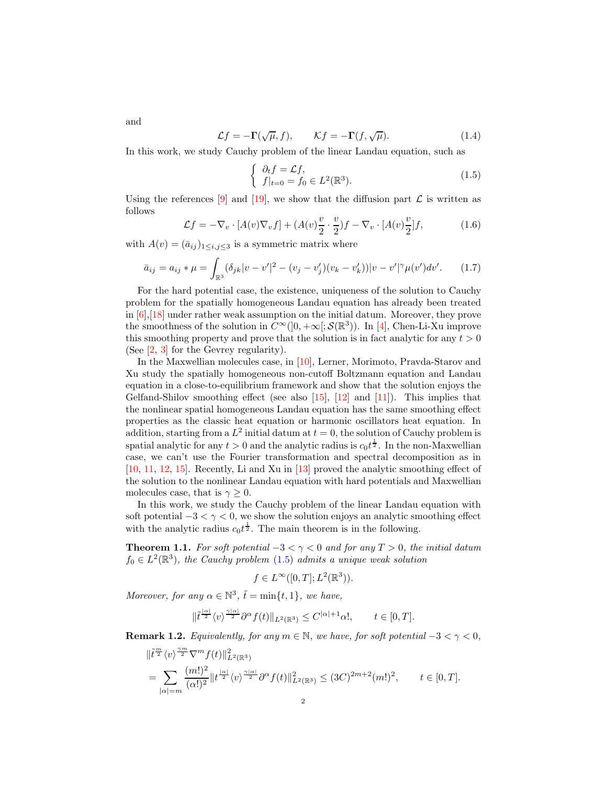and

$$
\mathcal{L}f = -\mathbf{\Gamma}(\sqrt{\mu}, f), \qquad \mathcal{K}f = -\mathbf{\Gamma}(f, \sqrt{\mu}). \tag{1.4}
$$

In this work, we study Cauchy problem of the linear Landau equation, such as

<span id="page-1-1"></span><span id="page-1-0"></span>
$$
\begin{cases} \partial_t f = \mathcal{L}f, \\ f|_{t=0} = f_0 \in L^2(\mathbb{R}^3). \end{cases}
$$
 (1.5)

Using the references [\[9\]](#page-16-0) and [\[19\]](#page-17-0), we show that the diffusion part  $\mathcal L$  is written as follows

$$
\mathcal{L}f = -\nabla_v \cdot [A(v)\nabla_v f] + (A(v)\frac{v}{2} \cdot \frac{v}{2})f - \nabla_v \cdot [A(v)\frac{v}{2}]f,
$$
\n(1.6)

with  $A(v) = (\bar{a}_{ij})_{1 \leq i, j \leq 3}$  is a symmetric matrix where

$$
\bar{a}_{ij} = a_{ij} * \mu = \int_{\mathbb{R}^3} (\delta_{jk}|v - v'|^2 - (v_j - v'_j)(v_k - v'_k))|v - v'|^{\gamma} \mu(v')dv'. \tag{1.7}
$$

For the hard potential case, the existence, uniqueness of the solution to Cauchy problem for the spatially homogeneous Landau equation has already been treated in [\[6\]](#page-16-1),[\[18\]](#page-17-1) under rather weak assumption on the initial datum. Moreover, they prove the smoothness of the solution in  $C^{\infty}(]0, +\infty[; \mathcal{S}(\mathbb{R}^3))$ . In [\[4\]](#page-16-2), Chen-Li-Xu improve this smoothing property and prove that the solution is in fact analytic for any  $t > 0$ (See [\[2,](#page-16-3) [3\]](#page-16-4) for the Gevrey regularity).

In the Maxwellian molecules case, in [\[10\]](#page-16-5), Lerner, Morimoto, Pravda-Starov and Xu study the spatially homogeneous non-cutoff Boltzmann equation and Landau equation in a close-to-equilibrium framework and show that the solution enjoys the Gelfand-Shilov smoothing effect (see also [\[15\]](#page-17-2), [\[12\]](#page-17-3) and [\[11\]](#page-16-6)). This implies that the nonlinear spatial homogeneous Landau equation has the same smoothing effect properties as the classic heat equation or harmonic oscillators heat equation. In addition, starting from a  $L^2$  initial datum at  $t = 0$ , the solution of Cauchy problem is spatial analytic for any  $t > 0$  and the analytic radius is  $c_0 t^{\frac{1}{2}}$ . In the non-Maxwellian case, we can't use the Fourier transformation and spectral decomposition as in [\[10,](#page-16-5) [11,](#page-16-6) [12,](#page-17-3) [15\]](#page-17-2). Recently, Li and Xu in [\[13\]](#page-17-4) proved the analytic smoothing effect of the solution to the nonlinear Landau equation with hard potentials and Maxwellian molecules case, that is  $\gamma \geq 0$ .

In this work, we study the Cauchy problem of the linear Landau equation with soft potential  $-3 < \gamma < 0$ , we show the solution enjoys an analytic smoothing effect with the analytic radius  $c_0 t^{\frac{1}{2}}$ . The main theorem is in the following.

<span id="page-1-2"></span>**Theorem 1.1.** For soft potential  $-3 < \gamma < 0$  and for any  $T > 0$ , the initial datum  $f_0 \in L^2(\mathbb{R}^3)$ , the Cauchy problem [\(1.5\)](#page-1-0) admits a unique weak solution

$$
f \in L^{\infty}([0,T]; L^2(\mathbb{R}^3)).
$$

Moreover, for any  $\alpha \in \mathbb{N}^3$ ,  $\tilde{t} = \min\{t, 1\}$ , we have,

$$
\|\tilde{t}^{\frac{|\alpha|}{2}}\langle v\rangle^{\frac{\gamma|\alpha|}{2}}\partial^{\alpha}f(t)\|_{L^{2}(\mathbb{R}^{3})}\leq C^{|\alpha|+1}\alpha!,\qquad t\in[0,T].
$$

**Remark 1.2.** Equivalently, for any  $m \in \mathbb{N}$ , we have, for soft potential  $-3 < \gamma < 0$ ,

$$
\begin{split} &\|\tilde{t}^{\frac{m}{2}}\langle v\rangle^{\frac{\gamma m}{2}}\nabla^{m}f(t)\|_{L^{2}(\mathbb{R}^{3})}^{2} \\ &=\sum_{|\alpha|=m}\frac{(m!)^{2}}{(\alpha!)^{2}}\|t^{\frac{|\alpha|}{2}}\langle v\rangle^{\frac{\gamma|\alpha|}{2}}\partial^{\alpha}f(t)\|_{L^{2}(\mathbb{R}^{3})}^{2} \leq (3C)^{2m+2}(m!)^{2}, \qquad t \in [0,T]. \end{split}
$$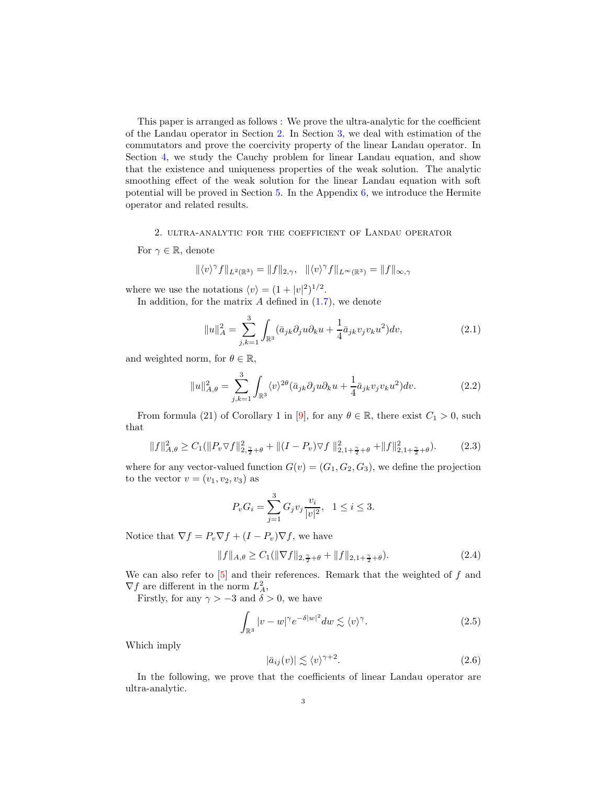This paper is arranged as follows : We prove the ultra-analytic for the coefficient of the Landau operator in Section [2.](#page-2-0) In Section [3,](#page-6-0) we deal with estimation of the commutators and prove the coercivity property of the linear Landau operator. In Section [4,](#page-10-0) we study the Cauchy problem for linear Landau equation, and show that the existence and uniqueness properties of the weak solution. The analytic smoothing effect of the weak solution for the linear Landau equation with soft potential will be proved in Section [5.](#page-11-0) In the Appendix  $6$ , we introduce the Hermite operator and related results.

#### <span id="page-2-0"></span>2. ultra-analytic for the coefficient of Landau operator

For  $\gamma \in \mathbb{R}$ , denote

$$
\|\langle v\rangle^{\gamma}f\|_{L^{2}(\mathbb{R}^{3})}=\|f\|_{2,\gamma}, \quad \|\langle v\rangle^{\gamma}f\|_{L^{\infty}(\mathbb{R}^{3})}=\|f\|_{\infty,\gamma}
$$

where we use the notations  $\langle v \rangle = (1 + |v|^2)^{1/2}$ .

In addition, for the matrix  $A$  defined in  $(1.7)$ , we denote

$$
||u||_A^2 = \sum_{j,k=1}^3 \int_{\mathbb{R}^3} (\bar{a}_{jk}\partial_j u \partial_k u + \frac{1}{4} \bar{a}_{jk} v_j v_k u^2) dv,
$$
 (2.1)

and weighted norm, for  $\theta \in \mathbb{R}$ ,

<span id="page-2-3"></span>
$$
||u||_{A,\theta}^2 = \sum_{j,k=1}^3 \int_{\mathbb{R}^3} \langle v \rangle^{2\theta} (\bar{a}_{jk}\partial_j u \partial_k u + \frac{1}{4} \bar{a}_{jk} v_j v_k u^2) dv.
$$
 (2.2)

From formula (21) of Corollary 1 in [\[9\]](#page-16-0), for any  $\theta \in \mathbb{R}$ , there exist  $C_1 > 0$ , such that

<span id="page-2-2"></span>
$$
||f||_{A,\theta}^2 \ge C_1(||P_v \nabla f||_{2,\frac{\gamma}{2}+\theta}^2 + ||(I - P_v) \nabla f||_{2,1+\frac{\gamma}{2}+\theta}^2 + ||f||_{2,1+\frac{\gamma}{2}+\theta}^2). \tag{2.3}
$$

where for any vector-valued function  $G(v) = (G_1, G_2, G_3)$ , we define the projection to the vector  $v = (v_1, v_2, v_3)$  as

$$
P_v G_i = \sum_{j=1}^3 G_j v_j \frac{v_i}{|v|^2}, \quad 1 \le i \le 3.
$$

Notice that  $\nabla f = P_v \nabla f + (I - P_v) \nabla f$ , we have

<span id="page-2-4"></span>
$$
||f||_{A,\theta} \ge C_1(||\nabla f||_{2,\frac{\gamma}{2}+\theta} + ||f||_{2,1+\frac{\gamma}{2}+\theta}).
$$
\n(2.4)

We can also refer to  $\boxed{5}$  and their references. Remark that the weighted of f and  $\nabla f$  are different in the norm  $L^2_A$ ,

Firstly, for any  $\gamma > -3$  and  $\delta > 0$ , we have

<span id="page-2-1"></span>
$$
\int_{\mathbb{R}^3} |v - w|^\gamma e^{-\delta |w|^2} dw \lesssim \langle v \rangle^\gamma. \tag{2.5}
$$

Which imply

$$
|\bar{a}_{ij}(v)| \lesssim \langle v \rangle^{\gamma+2}.
$$
 (2.6)

In the following, we prove that the coefficients of linear Landau operator are ultra-analytic.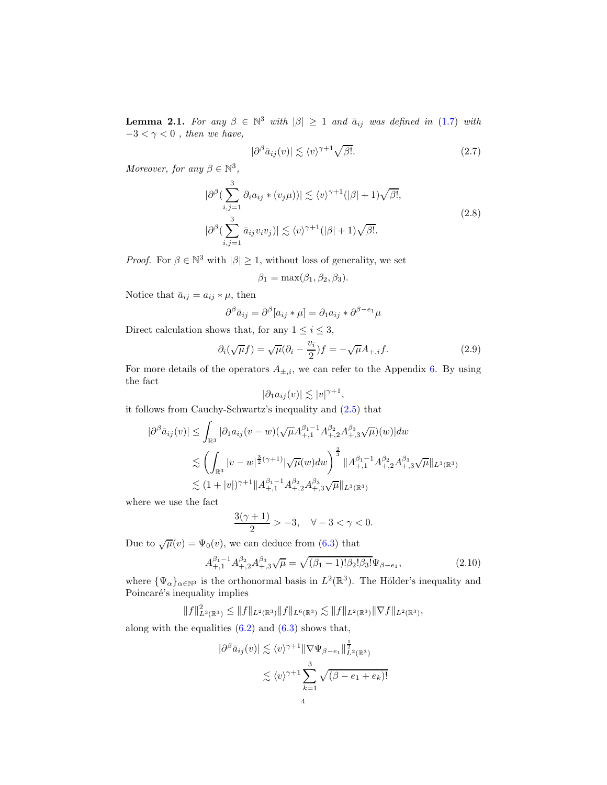<span id="page-3-1"></span>**Lemma 2.1.** For any  $\beta \in \mathbb{N}^3$  with  $|\beta| \geq 1$  and  $\bar{a}_{ij}$  was defined in [\(1.7\)](#page-1-1) with  $-3 < \gamma < 0$ , then we have,

<span id="page-3-3"></span>
$$
|\partial^{\beta}\bar{a}_{ij}(v)| \lesssim \langle v \rangle^{\gamma+1} \sqrt{\beta!}.
$$
 (2.7)

<span id="page-3-0"></span>Moreover, for any  $\beta \in \mathbb{N}^3$ ,

$$
|\partial^{\beta}\left(\sum_{i,j=1}^{3}\partial_{i}a_{ij}*(v_{j}\mu)\right)| \lesssim \langle v \rangle^{\gamma+1}(|\beta|+1)\sqrt{\beta!},
$$
  

$$
|\partial^{\beta}\left(\sum_{i,j=1}^{3}\bar{a}_{ij}v_{i}v_{j}\right)| \lesssim \langle v \rangle^{\gamma+1}(|\beta|+1)\sqrt{\beta!}.
$$
 (2.8)

*Proof.* For  $\beta \in \mathbb{N}^3$  with  $|\beta| \ge 1$ , without loss of generality, we set

$$
\beta_1 = \max(\beta_1, \beta_2, \beta_3).
$$

Notice that  $\bar{a}_{ij} = a_{ij} * \mu$ , then

$$
\partial^{\beta}\bar{a}_{ij} = \partial^{\beta}[a_{ij} * \mu] = \partial_1 a_{ij} * \partial^{\beta - e_1}\mu
$$

Direct calculation shows that, for any  $1 \leq i \leq 3$ ,

$$
\partial_i(\sqrt{\mu}f) = \sqrt{\mu}(\partial_i - \frac{v_i}{2})f = -\sqrt{\mu}A_{+,i}f. \tag{2.9}
$$

For more details of the operators  $A_{\pm,i}$ , we can refer to the Appendix [6.](#page-15-0) By using the fact

$$
|\partial_1 a_{ij}(v)| \lesssim |v|^{\gamma+1},
$$

it follows from Cauchy-Schwartz's inequality and [\(2.5\)](#page-2-1) that

$$
|\partial^{\beta}\bar{a}_{ij}(v)| \leq \int_{\mathbb{R}^{3}} |\partial_{1}a_{ij}(v-w)(\sqrt{\mu}A_{+,1}^{\beta_{1}-1}A_{+,2}^{\beta_{2}}A_{+,3}^{\beta_{3}}\sqrt{\mu})(w)|dw
$$
  

$$
\lesssim \left(\int_{\mathbb{R}^{3}} |v-w|^{\frac{3}{2}(\gamma+1)}|\sqrt{\mu}(w)dw\right)^{\frac{2}{3}} \|A_{+,1}^{\beta_{1}-1}A_{+,2}^{\beta_{2}}A_{+,3}^{\beta_{3}}\sqrt{\mu}\|_{L^{3}(\mathbb{R}^{3})}
$$
  

$$
\lesssim (1+|v|)^{\gamma+1} \|A_{+,1}^{\beta_{1}-1}A_{+,2}^{\beta_{2}}A_{+,3}^{\beta_{3}}\sqrt{\mu}\|_{L^{3}(\mathbb{R}^{3})}
$$

where we use the fact

$$
\frac{3(\gamma+1)}{2} > -3, \quad \forall -3 < \gamma < 0.
$$

Due to  $\sqrt{\mu}(v) = \Psi_0(v)$ , we can deduce from [\(6.3\)](#page-16-8) that

<span id="page-3-2"></span>
$$
A_{+,1}^{\beta_1 - 1} A_{+,2}^{\beta_2} A_{+,3}^{\beta_3} \sqrt{\mu} = \sqrt{(\beta_1 - 1)! \beta_2! \beta_3!} \Psi_{\beta - e_1},\tag{2.10}
$$

where  $\{\Psi_{\alpha}\}_{{\alpha \in \mathbb{N}}^3}$  is the orthonormal basis in  $L^2(\mathbb{R}^3)$ . The Hölder's inequality and Poincaré's inequality implies

$$
||f||_{L^{3}(\mathbb{R}^{3})}^{2} \leq ||f||_{L^{2}(\mathbb{R}^{3})} ||f||_{L^{6}(\mathbb{R}^{3})} \lesssim ||f||_{L^{2}(\mathbb{R}^{3})} ||\nabla f||_{L^{2}(\mathbb{R}^{3})},
$$

along with the equalities  $(6.2)$  and  $(6.3)$  shows that,

$$
|\partial^{\beta}\bar{a}_{ij}(v)| \lesssim \langle v \rangle^{\gamma+1} \|\nabla \Psi_{\beta-e_1}\|_{L^2(\mathbb{R}^3)}^{\frac{1}{2}}\n\n\lesssim \langle v \rangle^{\gamma+1} \sum_{k=1}^3 \sqrt{(\beta - e_1 + e_k)!}
$$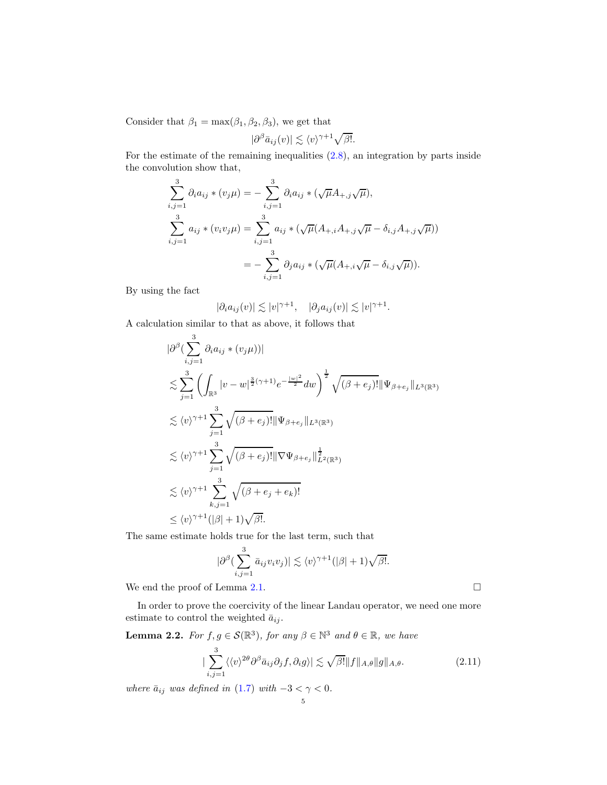Consider that  $\beta_1 = \max(\beta_1, \beta_2, \beta_3)$ , we get that

$$
|\partial^{\beta}\bar{a}_{ij}(v)| \lesssim \langle v \rangle^{\gamma+1} \sqrt{\beta!}.
$$

For the estimate of the remaining inequalities [\(2.8\)](#page-3-0), an integration by parts inside the convolution show that,

$$
\sum_{i,j=1}^{3} \partial_i a_{ij} * (v_j \mu) = -\sum_{i,j=1}^{3} \partial_i a_{ij} * (\sqrt{\mu} A_{+,j} \sqrt{\mu}),
$$
  

$$
\sum_{i,j=1}^{3} a_{ij} * (v_i v_j \mu) = \sum_{i,j=1}^{3} a_{ij} * (\sqrt{\mu} (A_{+,i} A_{+,j} \sqrt{\mu} - \delta_{i,j} A_{+,j} \sqrt{\mu}))
$$
  

$$
= -\sum_{i,j=1}^{3} \partial_j a_{ij} * (\sqrt{\mu} (A_{+,i} \sqrt{\mu} - \delta_{i,j} \sqrt{\mu})).
$$

By using the fact

$$
|\partial_i a_{ij}(v)| \lesssim |v|^{\gamma+1}, \quad |\partial_j a_{ij}(v)| \lesssim |v|^{\gamma+1}.
$$

A calculation similar to that as above, it follows that

$$
\begin{split}\n&|\partial^{\beta}(\sum_{i,j=1}^{3}\partial_{i}a_{ij} * (v_{j}\mu))| \\
&\lesssim \sum_{j=1}^{3}\left(\int_{\mathbb{R}^{3}}|v-w|^{\frac{3}{2}(\gamma+1)}e^{-\frac{|w|^{2}}{2}}dw\right)^{\frac{1}{2}}\sqrt{(\beta+e_{j})!}\|\Psi_{\beta+e_{j}}\|_{L^{3}(\mathbb{R}^{3})} \\
&\lesssim \langle v \rangle^{\gamma+1} \sum_{j=1}^{3}\sqrt{(\beta+e_{j})!}\|\Psi_{\beta+e_{j}}\|_{L^{3}(\mathbb{R}^{3})} \\
&\lesssim \langle v \rangle^{\gamma+1} \sum_{j=1}^{3}\sqrt{(\beta+e_{j})!}\|\nabla\Psi_{\beta+e_{j}}\|_{L^{2}(\mathbb{R}^{3})}^{\frac{1}{2}} \\
&\lesssim \langle v \rangle^{\gamma+1} \sum_{k,j=1}^{3}\sqrt{(\beta+e_{j}+e_{k})!} \\
&\leq \langle v \rangle^{\gamma+1}(|\beta|+1)\sqrt{\beta!}.\n\end{split}
$$

The same estimate holds true for the last term, such that

$$
|\partial^{\beta}\left(\sum_{i,j=1}^{3}\bar{a}_{ij}v_{i}v_{j}\right)| \lesssim \langle v \rangle^{\gamma+1}(|\beta|+1)\sqrt{\beta!}.
$$

We end the proof of Lemma [2.1.](#page-3-1)  $\Box$ 

In order to prove the coercivity of the linear Landau operator, we need one more estimate to control the weighted  $\bar{a}_{ij}$ .

<span id="page-4-1"></span><span id="page-4-0"></span>**Lemma 2.2.** For 
$$
f, g \in \mathcal{S}(\mathbb{R}^3)
$$
, for any  $\beta \in \mathbb{N}^3$  and  $\theta \in \mathbb{R}$ , we have  

$$
\sum_{i,j=1}^3 \langle \langle v \rangle^{2\theta} \partial^\beta \bar{a}_{ij} \partial_j f, \partial_i g \rangle \leq \sqrt{\beta!} \|f\|_{A,\theta} \|g\|_{A,\theta}.
$$
 (2.11)

5

where  $\bar{a}_{ij}$  was defined in [\(1.7\)](#page-1-1) with  $-3 < \gamma < 0$ .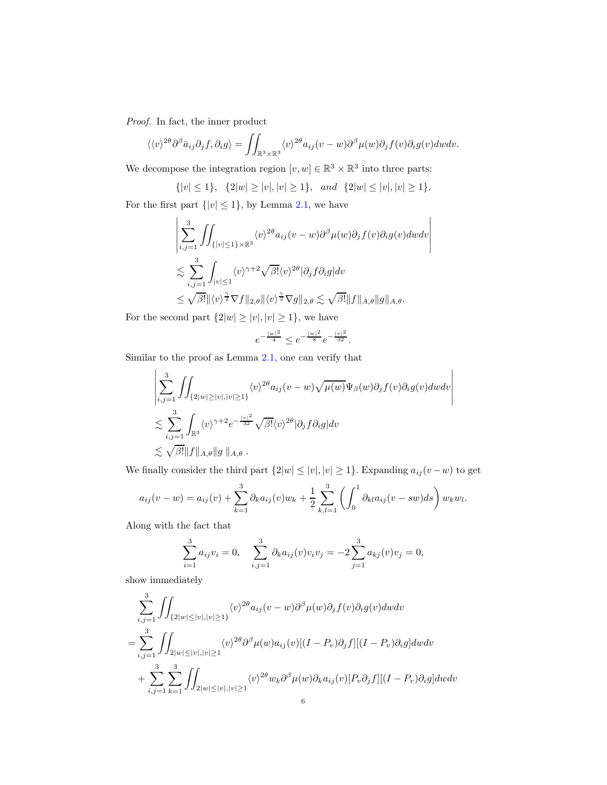Proof. In fact, the inner product

$$
\langle \langle v \rangle^{2\theta} \partial^{\beta} \bar{a}_{ij} \partial_j f, \partial_i g \rangle = \iint_{\mathbb{R}^3 \times \mathbb{R}^3} \langle v \rangle^{2\theta} a_{ij} (v - w) \partial^{\beta} \mu(w) \partial_j f(v) \partial_i g(v) dw dv.
$$

We decompose the integration region  $[v, w] \in \mathbb{R}^3 \times \mathbb{R}^3$  into three parts:

$$
\{|v| \le 1\}, \quad \{2|w| \ge |v|, |v| \ge 1\}, \quad and \quad \{2|w| \le |v|, |v| \ge 1\}.
$$

 $\overline{\phantom{a}}$  $\overline{\phantom{a}}$  $\overline{\phantom{a}}$  $\overline{\phantom{a}}$  $\overline{\phantom{a}}$  $\mid$ 

For the first part  $\{|v|\leq 1\},$  by Lemma [2.1,](#page-3-1) we have

$$
\left| \sum_{i,j=1}^{3} \iint_{\{|v| \le 1\} \times \mathbb{R}^3} \langle v \rangle^{2\theta} a_{ij} (v - w) \partial^{\beta} \mu(w) \partial_j f(v) \partial_i g(v) dw dv \right|
$$
  

$$
\lesssim \sum_{i,j=1}^{3} \int_{|v| \le 1} \langle v \rangle^{\gamma+2} \sqrt{\beta!} \langle v \rangle^{2\theta} |\partial_j f \partial_i g| dv
$$
  

$$
\le \sqrt{\beta!} ||\langle v \rangle^{\frac{\gamma}{2}} \nabla f||_{2,\theta} ||\langle v \rangle^{\frac{\gamma}{2}} \nabla g||_{2,\theta} \lesssim \sqrt{\beta!} ||f||_{A,\theta} ||g||_{A,\theta}.
$$

For the second part  $\{2|w|\geq |v|, |v|\geq 1\},$  we have

$$
e^{-\frac{|w|^2}{4}} \le e^{-\frac{|w|^2}{8}} e^{-\frac{|v|^2}{32}}.
$$

Similar to the proof as Lemma [2.1,](#page-3-1) one can verify that

$$
\left| \sum_{i,j=1}^{3} \iint_{\{2|w|\geq |v|, |v|\geq 1\}} \langle v \rangle^{2\theta} a_{ij}(v-w) \sqrt{\mu(w)} \Psi_{\beta}(w) \partial_j f(v) \partial_i g(v) dw dv \right|
$$
  

$$
\lesssim \sum_{i,j=1}^{3} \int_{\mathbb{R}^3} \langle v \rangle^{\gamma+2} e^{-\frac{|v|^2}{32}} \sqrt{\beta!} \langle v \rangle^{2\theta} |\partial_j f \partial_i g| dv
$$
  

$$
\lesssim \sqrt{\beta!} \|f\|_{A,\theta} \|g\|_{A,\theta} .
$$

We finally consider the third part  $\{2|w| \leq |v|, |v| \geq 1\}$ . Expanding  $a_{ij}(v - w)$  to get

$$
a_{ij}(v-w) = a_{ij}(v) + \sum_{k=1}^{3} \partial_k a_{ij}(v) w_k + \frac{1}{2} \sum_{k,l=1}^{3} \left( \int_0^1 \partial_k a_{ij}(v - sw) ds \right) w_k w_l.
$$

Along with the fact that

$$
\sum_{i=1}^{3} a_{ij}v_i = 0, \quad \sum_{i,j=1}^{3} \partial_k a_{ij}(v)v_i v_j = -2 \sum_{j=1}^{3} a_{kj}(v)v_j = 0,
$$

show immediately

$$
\sum_{i,j=1}^{3} \iint_{\{2|w|\leq |v|, |v|\geq 1\}} \langle v \rangle^{2\theta} a_{ij} (v-w) \partial^{\beta} \mu(w) \partial_j f(v) \partial_i g(v) dw dv
$$
  
= 
$$
\sum_{i,j=1}^{3} \iint_{2|w|\leq |v|, |v|\geq 1} \langle v \rangle^{2\theta} \partial^{\beta} \mu(w) a_{ij}(v) [(I - P_v) \partial_j f] [(I - P_v) \partial_i g] dw dv
$$
  
+ 
$$
\sum_{i,j=1}^{3} \sum_{k=1}^{3} \iint_{2|w|\leq |v|, |v|\geq 1} \langle v \rangle^{2\theta} w_k \partial^{\beta} \mu(w) \partial_k a_{ij}(v) [P_v \partial_j f] [(I - P_v) \partial_i g] dw dv
$$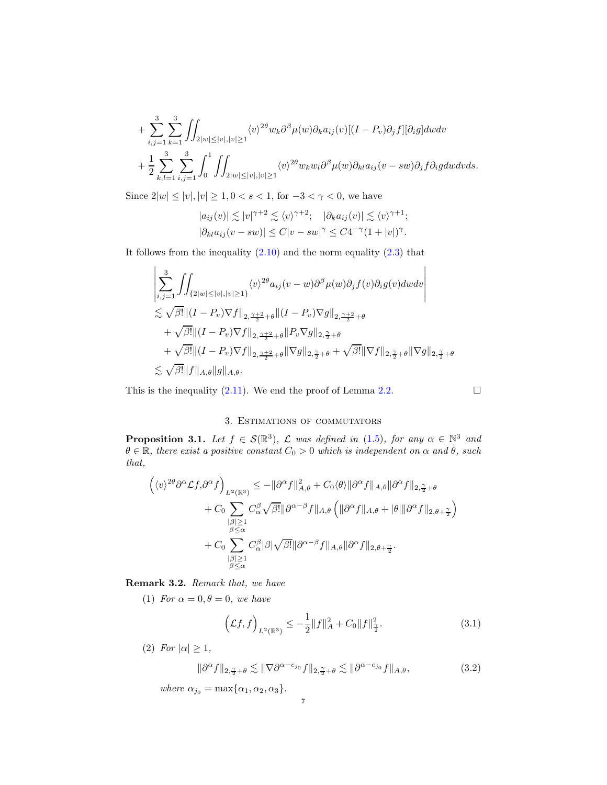$$
+\sum_{i,j=1}^3\sum_{k=1}^3\iint_{2|w|\leq |v|,|v|\geq 1}\langle v\rangle^{2\theta}w_k\partial^{\beta}\mu(w)\partial_ka_{ij}(v)[(I-P_v)\partial_jf][\partial_ig]dwdv\\+\frac{1}{2}\sum_{k,l=1}^3\sum_{i,j=1}^3\int_0^1\iint_{2|w|\leq |v|,|v|\geq 1}\langle v\rangle^{2\theta}w_kw_l\partial^{\beta}\mu(w)\partial_{kl}a_{ij}(v-su)\partial_jf\partial_igdwdvds.
$$

Since  $2|w| \le |v|, |v| \ge 1, 0 < s < 1$ , for  $-3 < \gamma < 0$ , we have

$$
|a_{ij}(v)| \lesssim |v|^{\gamma+2} \lesssim \langle v \rangle^{\gamma+2}; \quad |\partial_k a_{ij}(v)| \lesssim \langle v \rangle^{\gamma+1};
$$
  

$$
|\partial_{kl} a_{ij}(v - sw)| \le C|v - sw|^{\gamma} \le C4^{-\gamma} (1 + |v|)^{\gamma}.
$$

It follows from the inequality  $(2.10)$  and the norm equality  $(2.3)$  that

$$
\left| \sum_{i,j=1}^{3} \iint_{\{2|w| \leq |v|, |v| \geq 1\}} \langle v \rangle^{2\theta} a_{ij} (v-w) \partial^{\beta} \mu(w) \partial_{j} f(v) \partial_{i} g(v) dw dv \right|
$$
  
\n
$$
\lesssim \sqrt{\beta!} ||(I - P_{v}) \nabla f||_{2, \frac{\gamma+2}{2} + \theta} ||(I - P_{v}) \nabla g||_{2, \frac{\gamma+2}{2} + \theta}
$$
  
\n
$$
+ \sqrt{\beta!} ||(I - P_{v}) \nabla f||_{2, \frac{\gamma+2}{2} + \theta} ||P_{v} \nabla g||_{2, \frac{\gamma}{2} + \theta}
$$
  
\n
$$
+ \sqrt{\beta!} ||(I - P_{v}) \nabla f||_{2, \frac{\gamma+2}{2} + \theta} ||\nabla g||_{2, \frac{\gamma}{2} + \theta} + \sqrt{\beta!} ||\nabla f||_{2, \frac{\gamma}{2} + \theta} ||\nabla g||_{2, \frac{\gamma}{2} + \theta}
$$
  
\n
$$
\lesssim \sqrt{\beta!} ||f||_{A, \theta} ||g||_{A, \theta}.
$$

<span id="page-6-0"></span>This is the inequality [\(2.11\)](#page-4-0). We end the proof of Lemma [2.2.](#page-4-1)  $\Box$ 

$$
\Box
$$

## 3. Estimations of commutators

<span id="page-6-1"></span>**Proposition 3.1.** Let  $f \in \mathcal{S}(\mathbb{R}^3)$ ,  $\mathcal{L}$  was defined in [\(1.5\)](#page-1-0), for any  $\alpha \in \mathbb{N}^3$  and  $\theta \in \mathbb{R}$ , there exist a positive constant  $C_0 > 0$  which is independent on  $\alpha$  and  $\theta$ , such that,

$$
\left(\langle v \rangle^{2\theta} \partial^{\alpha} \mathcal{L} f, \partial^{\alpha} f \right)_{L^{2}(\mathbb{R}^{3})} \leq -\|\partial^{\alpha} f\|_{A,\theta}^{2} + C_{0} \langle \theta \rangle \|\partial^{\alpha} f\|_{A,\theta} \|\partial^{\alpha} f\|_{2,\frac{\gamma}{2}+\theta} \n+ C_{0} \sum_{\substack{|\beta| \geq 1 \\ \beta \leq \alpha}} C_{\alpha}^{\beta} \sqrt{\beta!} \|\partial^{\alpha-\beta} f\|_{A,\theta} \left( \|\partial^{\alpha} f\|_{A,\theta} + |\theta| \|\partial^{\alpha} f\|_{2,\theta+\frac{\gamma}{2}} \right) \n+ C_{0} \sum_{\substack{|\beta| \geq 1 \\ \beta \leq \alpha}} C_{\alpha}^{\beta} |\beta| \sqrt{\beta!} \|\partial^{\alpha-\beta} f\|_{A,\theta} \|\partial^{\alpha} f\|_{2,\theta+\frac{\gamma}{2}}.
$$

Remark 3.2. Remark that, we have

(1) For  $\alpha = 0, \theta = 0$ , we have

<span id="page-6-2"></span>
$$
\left(\mathcal{L}f, f\right)_{L^2(\mathbb{R}^3)} \le -\frac{1}{2} \|f\|_{A}^2 + C_0 \|f\|_{\frac{\gamma}{2}}^2. \tag{3.1}
$$

(2) For  $|\alpha| \geq 1$ ,

$$
\|\partial^{\alpha} f\|_{2,\frac{\gamma}{2}+\theta} \lesssim \|\nabla \partial^{\alpha-\varepsilon_{j_0}} f\|_{2,\frac{\gamma}{2}+\theta} \lesssim \|\partial^{\alpha-\varepsilon_{j_0}} f\|_{A,\theta},\tag{3.2}
$$

where  $\alpha_{j_0} = \max{\{\alpha_1, \alpha_2, \alpha_3\}}$ .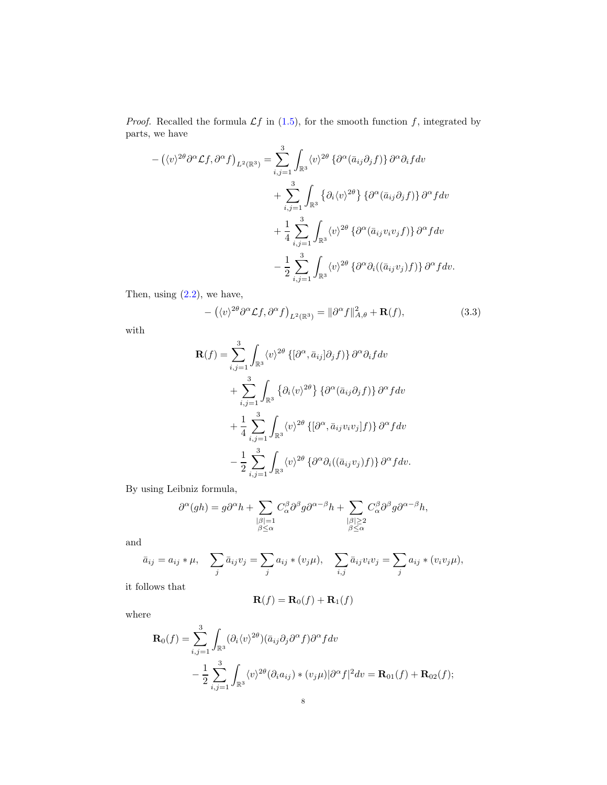*Proof.* Recalled the formula  $\mathcal{L}f$  in [\(1.5\)](#page-1-0), for the smooth function f, integrated by parts, we have

$$
- (\langle v \rangle^{2\theta} \partial^{\alpha} \mathcal{L}f, \partial^{\alpha} f)_{L^{2}(\mathbb{R}^{3})} = \sum_{i,j=1}^{3} \int_{\mathbb{R}^{3}} \langle v \rangle^{2\theta} \left\{ \partial^{\alpha} (\bar{a}_{ij} \partial_{j} f) \right\} \partial^{\alpha} \partial_{i} f dv + \sum_{i,j=1}^{3} \int_{\mathbb{R}^{3}} \left\{ \partial_{i} \langle v \rangle^{2\theta} \right\} \left\{ \partial^{\alpha} (\bar{a}_{ij} \partial_{j} f) \right\} \partial^{\alpha} f dv + \frac{1}{4} \sum_{i,j=1}^{3} \int_{\mathbb{R}^{3}} \langle v \rangle^{2\theta} \left\{ \partial^{\alpha} (\bar{a}_{ij} v_{i} v_{j} f) \right\} \partial^{\alpha} f dv - \frac{1}{2} \sum_{i,j=1}^{3} \int_{\mathbb{R}^{3}} \langle v \rangle^{2\theta} \left\{ \partial^{\alpha} \partial_{i} ((\bar{a}_{ij} v_{j}) f) \right\} \partial^{\alpha} f dv.
$$

Then, using  $(2.2)$ , we have,

<span id="page-7-0"></span>
$$
- (\langle v \rangle^{2\theta} \partial^{\alpha} \mathcal{L} f, \partial^{\alpha} f)_{L^2(\mathbb{R}^3)} = ||\partial^{\alpha} f||_{A,\theta}^2 + \mathbf{R}(f), \tag{3.3}
$$

with

$$
\mathbf{R}(f) = \sum_{i,j=1}^{3} \int_{\mathbb{R}^3} \langle v \rangle^{2\theta} \left\{ \left[ \partial^{\alpha}, \bar{a}_{ij} \right] \partial_j f \right\} \partial^{\alpha} \partial_i f dv
$$
  
+ 
$$
\sum_{i,j=1}^{3} \int_{\mathbb{R}^3} \left\{ \partial_i \langle v \rangle^{2\theta} \right\} \left\{ \partial^{\alpha} (\bar{a}_{ij} \partial_j f) \right\} \partial^{\alpha} f dv
$$
  
+ 
$$
\frac{1}{4} \sum_{i,j=1}^{3} \int_{\mathbb{R}^3} \langle v \rangle^{2\theta} \left\{ \left[ \partial^{\alpha}, \bar{a}_{ij} v_i v_j \right] f \right\} \right\} \partial^{\alpha} f dv
$$
  
- 
$$
\frac{1}{2} \sum_{i,j=1}^{3} \int_{\mathbb{R}^3} \langle v \rangle^{2\theta} \left\{ \partial^{\alpha} \partial_i ((\bar{a}_{ij} v_j) f) \right\} \partial^{\alpha} f dv.
$$

By using Leibniz formula,

$$
\partial^\alpha(gh)=g\partial^\alpha h+\sum_{\substack{|\beta|=1\\ \beta\leq\alpha}}C_\alpha^\beta\partial^\beta g\partial^{\alpha-\beta}h+\sum_{\substack{|\beta|\geq 2\\ \beta\leq\alpha}}C_\alpha^\beta\partial^\beta g\partial^{\alpha-\beta}h,
$$

and

$$
\bar{a}_{ij} = a_{ij} * \mu, \quad \sum_j \bar{a}_{ij} v_j = \sum_j a_{ij} * (v_j \mu), \quad \sum_{i,j} \bar{a}_{ij} v_i v_j = \sum_j a_{ij} * (v_i v_j \mu),
$$

it follows that

$$
\mathbf{R}(f) = \mathbf{R}_0(f) + \mathbf{R}_1(f)
$$

where

$$
\mathbf{R}_{0}(f) = \sum_{i,j=1}^{3} \int_{\mathbb{R}^{3}} (\partial_{i} \langle v \rangle^{2\theta}) (\bar{a}_{ij} \partial_{j} \partial^{\alpha} f) \partial^{\alpha} f dv
$$
  
 
$$
- \frac{1}{2} \sum_{i,j=1}^{3} \int_{\mathbb{R}^{3}} \langle v \rangle^{2\theta} (\partial_{i} a_{ij}) \cdot (v_{j} \mu) |\partial^{\alpha} f|^{2} dv = \mathbf{R}_{01}(f) + \mathbf{R}_{02}(f);
$$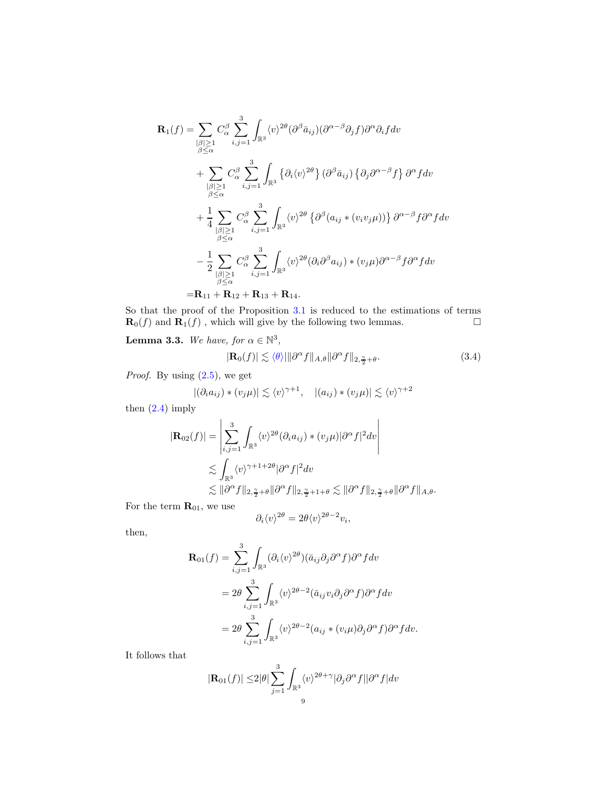$$
\mathbf{R}_{1}(f) = \sum_{\substack{\beta \geq 1 \\ \beta \leq \alpha}} C_{\alpha}^{\beta} \sum_{i,j=1}^{3} \int_{\mathbb{R}^{3}} \langle v \rangle^{2\theta} (\partial^{\beta} \bar{a}_{ij}) (\partial^{\alpha-\beta} \partial_{j} f) \partial^{\alpha} \partial_{i} f d v
$$
  
+ 
$$
\sum_{\substack{\beta \geq 1 \\ \beta \leq \alpha}} C_{\alpha}^{\beta} \sum_{i,j=1}^{3} \int_{\mathbb{R}^{3}} \left\{ \partial_{i} \langle v \rangle^{2\theta} \right\} (\partial^{\beta} \bar{a}_{ij}) \left\{ \partial_{j} \partial^{\alpha-\beta} f \right\} \partial^{\alpha} f d v
$$
  
+ 
$$
\frac{1}{4} \sum_{\substack{\beta \geq 1 \\ \beta \leq \alpha}} C_{\alpha}^{\beta} \sum_{i,j=1}^{3} \int_{\mathbb{R}^{3}} \langle v \rangle^{2\theta} \left\{ \partial^{\beta} (a_{ij} * (v_{i}v_{j}\mu)) \right\} \partial^{\alpha-\beta} f \partial^{\alpha} f d v
$$
  
- 
$$
\frac{1}{2} \sum_{\substack{\beta \geq 1 \\ \beta \leq \alpha}} C_{\alpha}^{\beta} \sum_{i,j=1}^{3} \int_{\mathbb{R}^{3}} \langle v \rangle^{2\theta} (\partial_{i} \partial^{\beta} a_{ij}) * (v_{j} \mu) \partial^{\alpha-\beta} f \partial^{\alpha} f d v
$$
  
= 
$$
\mathbf{R}_{11} + \mathbf{R}_{12} + \mathbf{R}_{13} + \mathbf{R}_{14}.
$$

So that the proof of the Proposition [3.1](#page-6-1) is reduced to the estimations of terms  $\mathbf{R}_0(f)$  and  $\mathbf{R}_1(f)$ , which will give by the following two lemmas.

**Lemma 3.3.** We have, for  $\alpha \in \mathbb{N}^3$ ,

$$
|\mathbf{R}_0(f)| \lesssim \langle \theta \rangle \|\partial^{\alpha} f\|_{A,\theta} \|\partial^{\alpha} f\|_{2,\frac{\gamma}{2}+\theta}.
$$
 (3.4)

*Proof.* By using  $(2.5)$ , we get

$$
|(\partial_i a_{ij}) * (v_j \mu)| \lesssim \langle v \rangle^{\gamma+1}, \quad |(a_{ij}) * (v_j \mu)| \lesssim \langle v \rangle^{\gamma+2}
$$

then  $(2.4)$  imply

$$
|\mathbf{R}_{02}(f)| = \left| \sum_{i,j=1}^{3} \int_{\mathbb{R}^3} \langle v \rangle^{2\theta} (\partial_i a_{ij}) \cdot (v_j \mu) | \partial^{\alpha} f |^2 dv \right|
$$
  

$$
\lesssim \int_{\mathbb{R}^3} \langle v \rangle^{\gamma+1+2\theta} | \partial^{\alpha} f |^2 dv
$$
  

$$
\lesssim \| \partial^{\alpha} f \|_{2, \frac{\gamma}{2}+\theta} \| \partial^{\alpha} f \|_{2, \frac{\gamma}{2}+1+\theta} \lesssim \| \partial^{\alpha} f \|_{2, \frac{\gamma}{2}+\theta} \| \partial^{\alpha} f \|_{A, \theta}.
$$

For the term  $\mathbf{R}_{01},$  we use

$$
\partial_i \langle v \rangle^{2\theta} = 2\theta \langle v \rangle^{2\theta - 2} v_i,
$$

then,

$$
\mathbf{R}_{01}(f) = \sum_{i,j=1}^{3} \int_{\mathbb{R}^3} (\partial_i \langle v \rangle^{2\theta}) (\bar{a}_{ij} \partial_j \partial^\alpha f) \partial^\alpha f dv
$$
  
=  $2\theta \sum_{i,j=1}^{3} \int_{\mathbb{R}^3} \langle v \rangle^{2\theta-2} (\bar{a}_{ij} v_i \partial_j \partial^\alpha f) \partial^\alpha f dv$   
=  $2\theta \sum_{i,j=1}^{3} \int_{\mathbb{R}^3} \langle v \rangle^{2\theta-2} (a_{ij} * (v_i \mu) \partial_j \partial^\alpha f) \partial^\alpha f dv.$ 

It follows that

$$
|\mathbf{R}_{01}(f)| \le 2|\theta| \sum_{j=1}^{3} \int_{\mathbb{R}^3} \langle v \rangle^{2\theta + \gamma} |\partial_j \partial^\alpha f| |\partial^\alpha f| dv
$$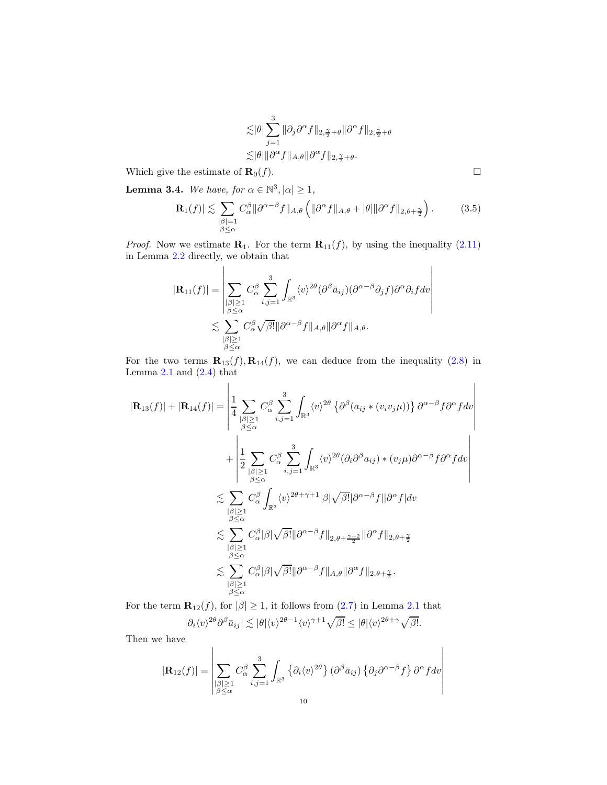$$
\begin{aligned} &\lesssim \!\!|\theta| \sum_{j=1}^3 \|\partial_j \partial^\alpha f\|_{2,\frac{\gamma}{2}+\theta} \|\partial^\alpha f\|_{2,\frac{\gamma}{2}+\theta} \\ &\lesssim \!|\theta| \|\partial^\alpha f\|_{A,\theta} \|\partial^\alpha f\|_{2,\frac{\gamma}{2}+\theta}. \end{aligned}
$$

Which give the estimate of  $\mathbf{R}_0(f)$ .

**Lemma 3.4.** We have, for  $\alpha \in \mathbb{N}^3, |\alpha| \geq 1$ ,

 $\overline{1}$ 

$$
|\mathbf{R}_1(f)| \lesssim \sum_{\substack{|\beta|=1\\ \beta \le \alpha}} C_{\alpha}^{\beta} ||\partial^{\alpha-\beta} f||_{A,\theta} \left( ||\partial^{\alpha} f||_{A,\theta} + |\theta| ||\partial^{\alpha} f||_{2,\theta+\frac{\gamma}{2}} \right).
$$
 (3.5)

 $\overline{\phantom{a}}$  $\overline{\phantom{a}}$  $\overline{\phantom{a}}$  $\overline{\phantom{a}}$  $\overline{\phantom{a}}$  $\overline{\phantom{a}}$  $\overline{\phantom{a}}$  $\overline{\phantom{a}}$ 

*Proof.* Now we estimate  $\mathbf{R}_1$ . For the term  $\mathbf{R}_{11}(f)$ , by using the inequality [\(2.11\)](#page-4-0) in Lemma [2.2](#page-4-1) directly, we obtain that

$$
|\mathbf{R}_{11}(f)| = \left| \sum_{\substack{\beta \geq 1 \\ \beta \leq \alpha}} C_{\alpha}^{\beta} \sum_{i,j=1}^{3} \int_{\mathbb{R}^{3}} \langle v \rangle^{2\theta} (\partial^{\beta} \bar{a}_{ij}) (\partial^{\alpha-\beta} \partial_{j} f) \partial^{\alpha} \partial_{i} f d v \right|
$$
  

$$
\lesssim \sum_{\substack{\beta \geq 1 \\ \beta \leq \alpha}} C_{\alpha}^{\beta} \sqrt{\beta!} \| \partial^{\alpha-\beta} f \|_{A,\theta} \| \partial^{\alpha} f \|_{A,\theta}.
$$

For the two terms  $\mathbf{R}_{13}(f), \mathbf{R}_{14}(f)$ , we can deduce from the inequality [\(2.8\)](#page-3-0) in Lemma  $2.1$  and  $(2.4)$  that

$$
|\mathbf{R}_{13}(f)| + |\mathbf{R}_{14}(f)| = \left| \frac{1}{4} \sum_{\substack{|\beta| \geq 1 \\ \beta \leq \alpha}} C_{\alpha}^{\beta} \sum_{i,j=1}^{3} \int_{\mathbb{R}^{3}} \langle v \rangle^{2\theta} \left\{ \partial^{\beta} (a_{ij} * (v_{i}v_{j}\mu)) \right\} \partial^{\alpha-\beta} f \partial^{\alpha} f dv \right| + \left| \frac{1}{2} \sum_{\substack{|\beta| \geq 1 \\ \beta \leq \alpha}} C_{\alpha}^{\beta} \sum_{i,j=1}^{3} \int_{\mathbb{R}^{3}} \langle v \rangle^{2\theta} (\partial_{i} \partial^{\beta} a_{ij}) * (v_{j}\mu) \partial^{\alpha-\beta} f \partial^{\alpha} f dv \right| \n\lesssim \sum_{\substack{|\beta| \geq 1 \\ \beta \leq \alpha}} C_{\alpha}^{\beta} \int_{\mathbb{R}^{3}} \langle v \rangle^{2\theta+\gamma+1} |\beta| \sqrt{\beta!} |\partial^{\alpha-\beta} f| |\partial^{\alpha} f| dv \n\lesssim \sum_{\substack{|\beta| \geq 1 \\ \beta \leq \alpha}} C_{\alpha}^{\beta} |\beta| \sqrt{\beta!} ||\partial^{\alpha-\beta} f||_{2,\theta+\frac{\gamma+2}{2}} ||\partial^{\alpha} f||_{2,\theta+\frac{\gamma}{2}} \n\lesssim \sum_{\substack{|\beta| \geq 1 \\ \beta \leq \alpha}} C_{\alpha}^{\beta} |\beta| \sqrt{\beta!} ||\partial^{\alpha-\beta} f||_{A,\theta} ||\partial^{\alpha} f||_{2,\theta+\frac{\gamma}{2}}.
$$

For the term  $\mathbf{R}_{12}(f)$ , for  $|\beta| \geq 1$ , it follows from  $(2.7)$  in Lemma [2.1](#page-3-1) that  $|\partial_i \langle v \rangle^{2\theta} \partial^\beta \bar{a}_{ij} | \lesssim |\theta| \langle v \rangle^{2\theta-1} \langle v \rangle^{\gamma+1} \sqrt{\beta!} \le |\theta| \langle v \rangle^{2\theta+\gamma} \sqrt{\beta!}.$ 

Then we have

$$
|\mathbf{R}_{12}(f)| = \left| \sum_{\substack{\beta \geq 1 \\ \beta \leq \alpha}} C_{\alpha}^{\beta} \sum_{i,j=1}^{3} \int_{\mathbb{R}^{3}} \left\{ \partial_{i} \langle v \rangle^{2\theta} \right\} (\partial^{\beta} \bar{a}_{ij}) \left\{ \partial_{j} \partial^{\alpha-\beta} f \right\} \partial^{\alpha} f dv \right|
$$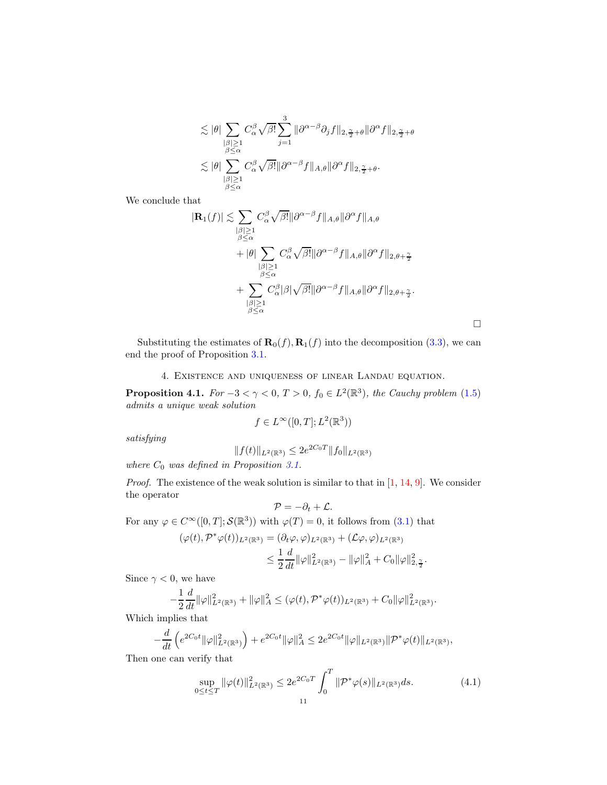$$
\lesssim |\theta| \sum_{\substack{\vert \beta \vert \geq 1 \\ \beta \leq \alpha}} C_{\alpha}^{\beta} \sqrt{\beta!} \sum_{j=1}^{3} \|\partial^{\alpha-\beta}\partial_{j}f\|_{2,\frac{\gamma}{2}+\theta} \|\partial^{\alpha}f\|_{2,\frac{\gamma}{2}+\theta}
$$
  

$$
\lesssim |\theta| \sum_{\substack{\vert \beta \vert \geq 1 \\ \beta \leq \alpha}} C_{\alpha}^{\beta} \sqrt{\beta!} \|\partial^{\alpha-\beta}f\|_{A,\theta} \|\partial^{\alpha}f\|_{2,\frac{\gamma}{2}+\theta}.
$$

We conclude that

$$
|\mathbf{R}_{1}(f)| \lesssim \sum_{\substack{\beta \leq \Delta \\ \beta \leq \alpha}} C_{\alpha}^{\beta} \sqrt{\beta!} ||\partial^{\alpha-\beta} f||_{A,\theta} ||\partial^{\alpha} f||_{A,\theta}
$$
  
+ 
$$
|\theta| \sum_{\substack{\beta \leq \alpha \\ \beta \leq \alpha}} C_{\alpha}^{\beta} \sqrt{\beta!} ||\partial^{\alpha-\beta} f||_{A,\theta} ||\partial^{\alpha} f||_{2,\theta+\frac{\gamma}{2}}
$$
  
+ 
$$
\sum_{\substack{\beta \leq \alpha \\ \beta \leq \alpha}} C_{\alpha}^{\beta} |\beta| \sqrt{\beta!} ||\partial^{\alpha-\beta} f||_{A,\theta} ||\partial^{\alpha} f||_{2,\theta+\frac{\gamma}{2}}.
$$

 $\Box$ 

<span id="page-10-0"></span>Substituting the estimates of  $\mathbf{R}_0(f), \mathbf{R}_1(f)$  into the decomposition [\(3.3\)](#page-7-0), we can end the proof of Proposition [3.1.](#page-6-1)

### 4. Existence and uniqueness of linear Landau equation.

<span id="page-10-2"></span>**Proposition 4.1.** For  $-3 < \gamma < 0$ ,  $T > 0$ ,  $f_0 \in L^2(\mathbb{R}^3)$ , the Cauchy problem [\(1.5\)](#page-1-0) admits a unique weak solution

$$
f \in L^{\infty}([0,T];L^2(\mathbb{R}^3))
$$

satisfying

$$
||f(t)||_{L^2(\mathbb{R}^3)} \le 2e^{2C_0T} ||f_0||_{L^2(\mathbb{R}^3)}
$$

where  $C_0$  was defined in Proposition [3.1.](#page-6-1)

*Proof.* The existence of the weak solution is similar to that in  $[1, 14, 9]$  $[1, 14, 9]$  $[1, 14, 9]$  $[1, 14, 9]$ . We consider the operator

$$
\mathcal{P}=-\partial_t+\mathcal{L}.
$$

For any  $\varphi \in C^{\infty}([0, T]; \mathcal{S}(\mathbb{R}^3))$  with  $\varphi(T) = 0$ , it follows from  $(3.1)$  that

$$
\begin{aligned} (\varphi(t),\mathcal{P}^*\varphi(t))_{L^2(\mathbb{R}^3)} &= (\partial_t\varphi,\varphi)_{L^2(\mathbb{R}^3)} + (\mathcal{L}\varphi,\varphi)_{L^2(\mathbb{R}^3)} \\ &\leq \frac{1}{2}\frac{d}{dt}\|\varphi\|_{L^2(\mathbb{R}^3)}^2 - \|\varphi\|_A^2 + C_0\|\varphi\|_{2,\frac{\gamma}{2}}^2. \end{aligned}
$$

Since  $\gamma < 0$ , we have

$$
-\frac{1}{2}\frac{d}{dt}\|\varphi\|_{L^2(\mathbb{R}^3)}^2+\|\varphi\|_A^2\leq (\varphi(t),\mathcal{P}^*\varphi(t))_{L^2(\mathbb{R}^3)}+C_0\|\varphi\|_{L^2(\mathbb{R}^3)}^2.
$$

Which implies that

$$
-\frac{d}{dt}\left(e^{2C_0t}\|\varphi\|_{L^2(\mathbb{R}^3)}^2\right)+e^{2C_0t}\|\varphi\|_A^2\leq 2e^{2C_0t}\|\varphi\|_{L^2(\mathbb{R}^3)}\|\mathcal{P}^*\varphi(t)\|_{L^2(\mathbb{R}^3)},
$$

Then one can verify that

<span id="page-10-1"></span>
$$
\sup_{0 \le t \le T} \|\varphi(t)\|_{L^2(\mathbb{R}^3)}^2 \le 2e^{2C_0T} \int_0^T \|\mathcal{P}^*\varphi(s)\|_{L^2(\mathbb{R}^3)} ds. \tag{4.1}
$$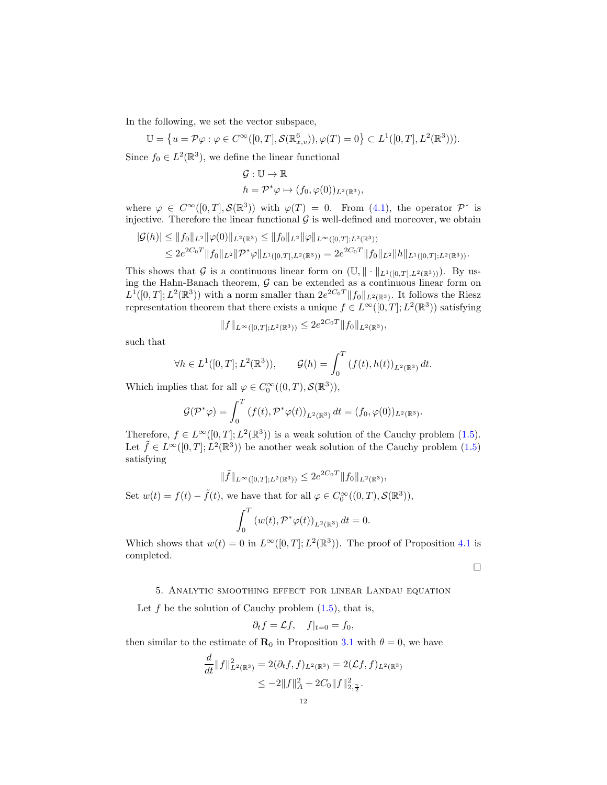In the following, we set the vector subspace,

$$
\mathbb{U} = \left\{ u = \mathcal{P}\varphi : \varphi \in C^{\infty}([0,T],\mathcal{S}(\mathbb{R}^6_{x,v})), \varphi(T) = 0 \right\} \subset L^1([0,T],L^2(\mathbb{R}^3))).
$$

Since  $f_0 \in L^2(\mathbb{R}^3)$ , we define the linear functional

$$
\mathcal{G}: \mathbb{U} \to \mathbb{R}
$$
  

$$
h = \mathcal{P}^* \varphi \mapsto (f_0, \varphi(0))_{L^2(\mathbb{R}^3)},
$$

where  $\varphi \in C^{\infty}([0,T], \mathcal{S}(\mathbb{R}^3))$  with  $\varphi(T) = 0$ . From [\(4.1\)](#page-10-1), the operator  $\mathcal{P}^*$  is injective. Therefore the linear functional  $\mathcal G$  is well-defined and moreover, we obtain

$$
|\mathcal{G}(h)| \leq ||f_0||_{L^2} ||\varphi(0)||_{L^2(\mathbb{R}^3)} \leq ||f_0||_{L^2} ||\varphi||_{L^\infty([0,T];L^2(\mathbb{R}^3))}
$$
  
\n
$$
\leq 2e^{2C_0T} ||f_0||_{L^2} ||\mathcal{P}^*\varphi||_{L^1([0,T],L^2(\mathbb{R}^3))} = 2e^{2C_0T} ||f_0||_{L^2} ||h||_{L^1([0,T];L^2(\mathbb{R}^3))}.
$$

This shows that G is a continuous linear form on  $(\mathbb{U}, \|\cdot\|_{L^1([0,T],L^2(\mathbb{R}^3))})$ . By using the Hahn-Banach theorem,  $G$  can be extended as a continuous linear form on  $L^1([0,T];L^2(\mathbb{R}^3))$  with a norm smaller than  $2e^{2C_0T}||f_0||_{L^2(\mathbb{R}^3)}$ . It follows the Riesz representation theorem that there exists a unique  $f \in L^{\infty}([0,T]; L^2(\mathbb{R}^3))$  satisfying

$$
||f||_{L^{\infty}([0,T];L^2(\mathbb{R}^3))} \leq 2e^{2C_0T} ||f_0||_{L^2(\mathbb{R}^3)},
$$

such that

$$
\forall h \in L^{1}([0, T]; L^{2}(\mathbb{R}^{3})), \qquad \mathcal{G}(h) = \int_{0}^{T} (f(t), h(t))_{L^{2}(\mathbb{R}^{3})} dt.
$$

Which implies that for all  $\varphi \in C_0^{\infty}((0,T), \mathcal{S}(\mathbb{R}^3)),$ 

$$
\mathcal{G}(\mathcal{P}^*\varphi) = \int_0^T \left(f(t), \mathcal{P}^*\varphi(t)\right)_{L^2(\mathbb{R}^3)} dt = (f_0, \varphi(0))_{L^2(\mathbb{R}^3)}.
$$

Therefore,  $f \in L^{\infty}([0,T]; L^2(\mathbb{R}^3))$  is a weak solution of the Cauchy problem [\(1.5\)](#page-1-0). Let  $\tilde{f} \in L^{\infty}([0,T]; L^{2}(\mathbb{R}^{3}))$  be another weak solution of the Cauchy problem  $(1.5)$ satisfying

$$
\|\tilde{f}\|_{L^{\infty}([0,T];L^2(\mathbb{R}^3))} \le 2e^{2C_0T} \|f_0\|_{L^2(\mathbb{R}^3)},
$$

Set  $w(t) = f(t) - \tilde{f}(t)$ , we have that for all  $\varphi \in C_0^{\infty}((0,T), \mathcal{S}(\mathbb{R}^3))$ ,  $\int_0^T$  $\int_{0}^{t} (w(t), \mathcal{P}^*\varphi(t))_{L^2(\mathbb{R}^3)} dt = 0.$ 

Which shows that 
$$
w(t) = 0
$$
 in  $L^{\infty}([0, T]; L^{2}(\mathbb{R}^{3}))$ . The proof of Proposition 4.1 is completed.

 $\Box$ 

### <span id="page-11-0"></span>5. Analytic smoothing effect for linear Landau equation

Let f be the solution of Cauchy problem  $(1.5)$ , that is,

$$
\partial_t f = \mathcal{L}f, \quad f|_{t=0} = f_0,
$$

then similar to the estimate of  $\mathbf{R}_0$  in Proposition [3.1](#page-6-1) with  $\theta = 0$ , we have

$$
\frac{d}{dt}||f||_{L^{2}(\mathbb{R}^{3})}^{2} = 2(\partial_{t}f, f)_{L^{2}(\mathbb{R}^{3})} = 2(\mathcal{L}f, f)_{L^{2}(\mathbb{R}^{3})}
$$
\n
$$
\leq -2||f||_{A}^{2} + 2C_{0}||f||_{2, \frac{\gamma}{2}}^{2}.
$$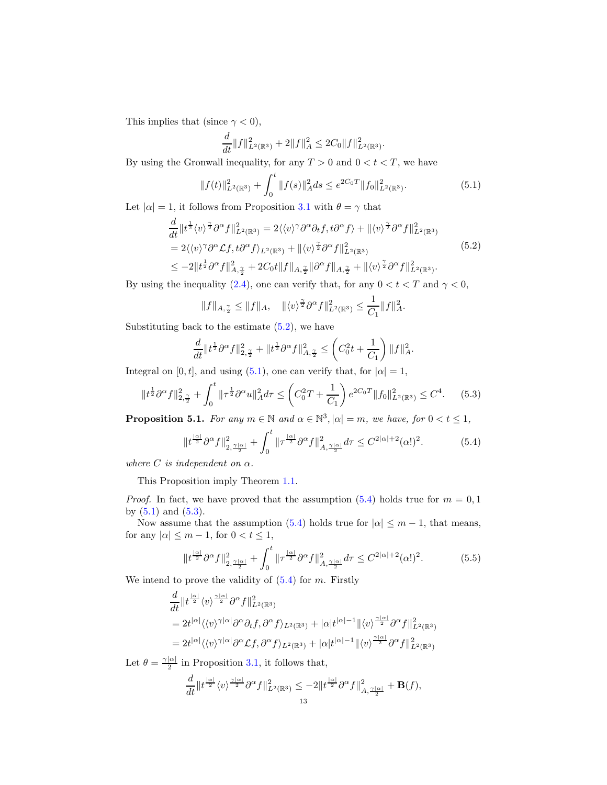This implies that (since  $\gamma < 0$ ),

$$
\frac{d}{dt}||f||_{L^{2}(\mathbb{R}^{3})}^{2} + 2||f||_{A}^{2} \leq 2C_{0}||f||_{L^{2}(\mathbb{R}^{3})}^{2}.
$$

By using the Gronwall inequality, for any  $T > 0$  and  $0 < t < T$ , we have

<span id="page-12-1"></span>
$$
||f(t)||_{L^{2}(\mathbb{R}^{3})}^{2} + \int_{0}^{t} ||f(s)||_{A}^{2} ds \le e^{2C_{0}T} ||f_{0}||_{L^{2}(\mathbb{R}^{3})}^{2}.
$$
\n(5.1)

Let  $|\alpha|=1,$  it follows from Proposition [3.1](#page-6-1) with  $\theta=\gamma$  that

$$
\frac{d}{dt}||t^{\frac{1}{2}}\langle v\rangle^{\frac{\gamma}{2}}\partial^{\alpha}f||_{L^{2}(\mathbb{R}^{3})}^{2} = 2\langle\langle v\rangle^{\gamma}\partial^{\alpha}\partial_{t}f, t\partial^{\alpha}f\rangle + ||\langle v\rangle^{\frac{\gamma}{2}}\partial^{\alpha}f||_{L^{2}(\mathbb{R}^{3})}^{2}
$$
\n
$$
= 2\langle\langle v\rangle^{\gamma}\partial^{\alpha}\mathcal{L}f, t\partial^{\alpha}f\rangle_{L^{2}(\mathbb{R}^{3})} + ||\langle v\rangle^{\frac{\gamma}{2}}\partial^{\alpha}f||_{L^{2}(\mathbb{R}^{3})}^{2}
$$
\n
$$
\leq -2||t^{\frac{1}{2}}\partial^{\alpha}f||_{A, \frac{\gamma}{2}}^{2} + 2C_{0}t||f||_{A, \frac{\gamma}{2}}||\partial^{\alpha}f||_{A, \frac{\gamma}{2}} + ||\langle v\rangle^{\frac{\gamma}{2}}\partial^{\alpha}f||_{L^{2}(\mathbb{R}^{3})}^{2}.
$$
\n
$$
(5.2)
$$

<span id="page-12-0"></span>By using the inequality [\(2.4\)](#page-2-4), one can verify that, for any  $0 < t < T$  and  $\gamma < 0$ ,

$$
||f||_{A, \frac{\gamma}{2}} \le ||f||_A, \quad ||\langle v \rangle^{\frac{\gamma}{2}} \partial^{\alpha} f||_{L^2(\mathbb{R}^3)}^2 \le \frac{1}{C_1} ||f||_A^2.
$$

Substituting back to the estimate  $(5.2)$ , we have

$$
\frac{d}{dt} \|t^{\frac{1}{2}} \partial^{\alpha} f\|_{2, \frac{\gamma}{2}}^2 + \|t^{\frac{1}{2}} \partial^{\alpha} f\|_{A, \frac{\gamma}{2}}^2 \leq \left(C_0^2 t + \frac{1}{C_1}\right) \|f\|_{A}^2.
$$

Integral on [0, t], and using [\(5.1\)](#page-12-1), one can verify that, for  $|\alpha|=1$ ,

<span id="page-12-3"></span>
$$
||t^{\frac{1}{2}}\partial^{\alpha}f||_{2,\frac{\gamma}{2}}^{2} + \int_{0}^{t} ||\tau^{\frac{1}{2}}\partial^{\alpha}u||_{A}^{2}d\tau \leq \left(C_{0}^{2}T + \frac{1}{C_{1}}\right)e^{2C_{0}T}||f_{0}||_{L^{2}(\mathbb{R}^{3})}^{2} \leq C^{4}.
$$
 (5.3)

<span id="page-12-5"></span>**Proposition 5.1.** For any  $m \in \mathbb{N}$  and  $\alpha \in \mathbb{N}^3$ ,  $|\alpha| = m$ , we have, for  $0 < t \leq 1$ ,

<span id="page-12-2"></span>
$$
\|t^{\frac{|\alpha|}{2}}\partial^{\alpha}f\|_{2,\frac{\gamma|\alpha|}{2}}^2 + \int_0^t \|\tau^{\frac{|\alpha|}{2}}\partial^{\alpha}f\|_{A,\frac{\gamma|\alpha|}{2}}^2 d\tau \leq C^{2|\alpha|+2}(\alpha!)^2. \tag{5.4}
$$

where C is independent on  $\alpha$ .

This Proposition imply Theorem [1.1.](#page-1-2)

*Proof.* In fact, we have proved that the assumption  $(5.4)$  holds true for  $m = 0,1$ by  $(5.1)$  and  $(5.3)$ .

Now assume that the assumption [\(5.4\)](#page-12-2) holds true for  $|\alpha| \leq m - 1$ , that means, for any  $|\alpha| \leq m - 1$ , for  $0 < t \leq 1$ ,

<span id="page-12-4"></span>
$$
\|t^{\frac{|\alpha|}{2}}\partial^{\alpha}f\|_{2,\frac{\gamma|\alpha|}{2}}^2 + \int_0^t \|\tau^{\frac{|\alpha|}{2}}\partial^{\alpha}f\|_{A,\frac{\gamma|\alpha|}{2}}^2 d\tau \leq C^{2|\alpha|+2}(\alpha!)^2. \tag{5.5}
$$

We intend to prove the validity of  $(5.4)$  for m. Firstly

$$
\begin{split} &\frac{d}{dt}\|t^{\frac{|\alpha|}{2}}\langle v\rangle^{\frac{\gamma|\alpha|}{2}}\partial^\alpha f\|_{L^2(\mathbb{R}^3)}^2\\ &=2t^{|\alpha|}\langle\langle v\rangle^{\gamma|\alpha|}\partial^\alpha\partial_tf,\partial^\alpha f\rangle_{L^2(\mathbb{R}^3)}+|\alpha|t^{|\alpha|-1}\|\langle v\rangle^{\frac{\gamma|\alpha|}{2}}\partial^\alpha f\|_{L^2(\mathbb{R}^3)}^2\\ &=2t^{|\alpha|}\langle\langle v\rangle^{\gamma|\alpha|}\partial^\alpha\mathcal{L}f,\partial^\alpha f\rangle_{L^2(\mathbb{R}^3)}+|\alpha|t^{|\alpha|-1}\|\langle v\rangle^{\frac{\gamma|\alpha|}{2}}\partial^\alpha f\|_{L^2(\mathbb{R}^3)}^2 \end{split}
$$

Let  $\theta = \frac{\gamma |\alpha|}{2}$  $\frac{1}{2}$  in Proposition [3.1,](#page-6-1) it follows that,

$$
\frac{d}{dt} \|t^{\frac{|\alpha|}{2}} \langle v \rangle^{\frac{\gamma |\alpha|}{2}} \partial^\alpha f \|^2_{L^2(\mathbb{R}^3)} \leq -2 \|t^{\frac{|\alpha|}{2}} \partial^\alpha f \|^2_{A, \frac{\gamma |\alpha|}{2}} + \mathbf{B}(f),
$$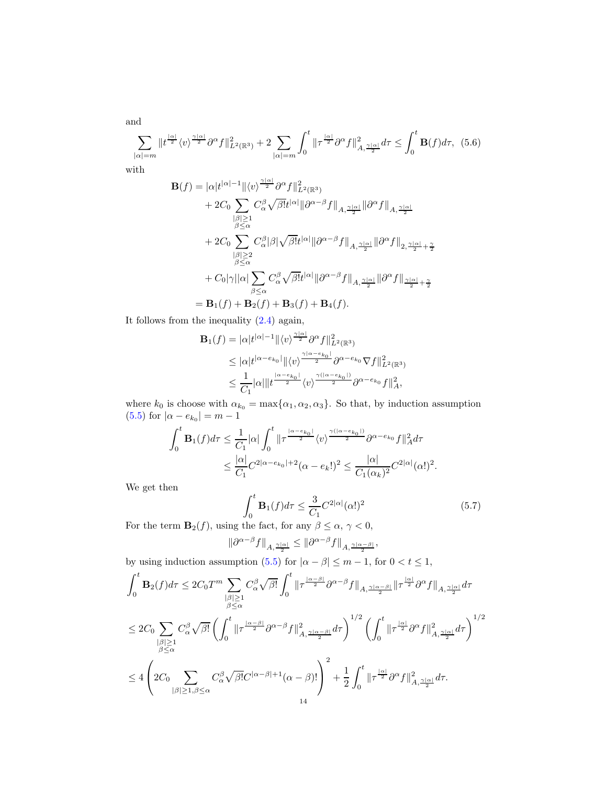and

<span id="page-13-0"></span>
$$
\sum_{|\alpha|=m} \|t^{\frac{|\alpha|}{2}} \langle v \rangle^{\frac{\gamma |\alpha|}{2}} \partial^{\alpha} f \|_{L^{2}(\mathbb{R}^{3})}^{2} + 2 \sum_{|\alpha|=m} \int_{0}^{t} \|\tau^{\frac{|\alpha|}{2}} \partial^{\alpha} f \|_{A,\frac{\gamma |\alpha|}{2}}^{2} d\tau \leq \int_{0}^{t} \mathbf{B}(f) d\tau, \tag{5.6}
$$

with

$$
\mathbf{B}(f) = |\alpha|t^{|\alpha|-1} \|\langle v \rangle^{\frac{\gamma|\alpha|}{2}} \partial^{\alpha} f \|^2_{L^2(\mathbb{R}^3)} \n+ 2C_0 \sum_{\substack{|\beta| \geq 1 \\ \beta \leq \alpha}} C_{\alpha}^{\beta} \sqrt{\beta!} t^{|\alpha|} \|\partial^{\alpha-\beta} f\|_{A, \frac{\gamma|\alpha|}{2}} \|\partial^{\alpha} f\|_{A, \frac{\gamma|\alpha|}{2}} \n+ 2C_0 \sum_{\substack{|\beta| \geq 2 \\ \beta \leq \alpha}} C_{\alpha}^{\beta} |\beta| \sqrt{\beta!} t^{|\alpha|} \|\partial^{\alpha-\beta} f\|_{A, \frac{\gamma|\alpha|}{2}} \|\partial^{\alpha} f\|_{2, \frac{\gamma|\alpha|}{2} + \frac{\gamma}{2}} \n+ C_0 |\gamma| |\alpha| \sum_{\beta \leq \alpha} C_{\alpha}^{\beta} \sqrt{\beta!} t^{|\alpha|} \|\partial^{\alpha-\beta} f\|_{A, \frac{\gamma|\alpha|}{2}} \|\partial^{\alpha} f\|_{\frac{\gamma|\alpha|}{2} + \frac{\gamma}{2}} \n= \mathbf{B}_1(f) + \mathbf{B}_2(f) + \mathbf{B}_3(f) + \mathbf{B}_4(f).
$$

It follows from the inequality [\(2.4\)](#page-2-4) again,

$$
\mathbf{B}_{1}(f) = |\alpha|t^{|\alpha|-1}||\langle v \rangle^{\frac{\gamma|\alpha|}{2}} \partial^{\alpha} f||_{L^{2}(\mathbb{R}^{3})}^{2}
$$
  
\n
$$
\leq |\alpha|t^{|\alpha-e_{k_{0}}|}||\langle v \rangle^{\frac{\gamma|\alpha-e_{k_{0}}|}{2}} \partial^{\alpha-e_{k_{0}}}\nabla f||_{L^{2}(\mathbb{R}^{3})}^{2}
$$
  
\n
$$
\leq \frac{1}{C_{1}}|\alpha||t^{\frac{|\alpha-e_{k_{0}}|}{2}}\langle v \rangle^{\frac{\gamma(|\alpha-e_{k_{0}}|)}{2}} \partial^{\alpha-e_{k_{0}}} f||_{A}^{2},
$$

where  $k_0$  is choose with  $\alpha_{k_0} = \max{\{\alpha_1, \alpha_2, \alpha_3\}}$ . So that, by induction assumption  $(5.5)$  for  $|\alpha - e_{k_0}| = m - 1$ 

$$
\int_0^t \mathbf{B}_1(f) d\tau \leq \frac{1}{C_1} |\alpha| \int_0^t \|\tau^{\frac{|\alpha - e_{k_0}|}{2}} \langle v \rangle^{\frac{\gamma(|\alpha - e_{k_0}|)}{2}} \partial^{\alpha - e_{k_0}} f \|_A^2 d\tau
$$
  

$$
\leq \frac{|\alpha|}{C_1} C^{2|\alpha - e_{k_0}| + 2} (\alpha - e_k!)^2 \leq \frac{|\alpha|}{C_1 (\alpha_k)^2} C^{2|\alpha|} (\alpha!)^2.
$$

We get then

<span id="page-13-1"></span>
$$
\int_0^t \mathbf{B}_1(f) d\tau \le \frac{3}{C_1} C^{2|\alpha|} (\alpha!)^2
$$
\nthe fact, for any  $\beta \le \alpha, \gamma \le 0$ .

\n(5.7)

For the term  $\mathbf{B}_2(f)$ , using the fact, for any  $\beta \leq \alpha, \gamma < 0$ ,

$$
\|\partial^{\alpha-\beta} f\|_{A,\frac{\gamma|\alpha|}{2}} \le \|\partial^{\alpha-\beta} f\|_{A,\frac{\gamma|\alpha-\beta|}{2}},
$$
 by using induction assumption (5.5) for  $|\alpha-\beta| \le m-1$ , for  $0 < t \le 1$ ,

$$
\int_{0}^{t} \mathbf{B}_{2}(f) d\tau \leq 2C_{0} T^{m} \sum_{\substack{|\beta| \geq 1 \\ \beta \leq \alpha}} C_{\alpha}^{\beta} \sqrt{\beta!} \int_{0}^{t} \left\| \tau^{\frac{|\alpha-\beta|}{2}} \partial^{\alpha-\beta} f \right\|_{A, \frac{\gamma|\alpha-\beta|}{2}} \left\| \tau^{\frac{|\alpha|}{2}} \partial^{\alpha} f \right\|_{A, \frac{\gamma|\alpha|}{2}} d\tau
$$
  

$$
\leq 2C_{0} \sum_{\substack{|\beta| \geq 1 \\ \beta \leq \alpha}} C_{\alpha}^{\beta} \sqrt{\beta!} \left( \int_{0}^{t} \left\| \tau^{\frac{|\alpha-\beta|}{2}} \partial^{\alpha-\beta} f \right\|_{A, \frac{\gamma|\alpha-\beta|}{2}}^{2} d\tau \right)^{1/2} \left( \int_{0}^{t} \left\| \tau^{\frac{|\alpha|}{2}} \partial^{\alpha} f \right\|_{A, \frac{\gamma|\alpha|}{2}}^{2} d\tau \right)^{1/2}
$$
  

$$
\leq 4 \left( 2C_{0} \sum_{|\beta| \geq 1, \beta \leq \alpha} C_{\alpha}^{\beta} \sqrt{\beta!} C^{|\alpha-\beta|+1} (\alpha-\beta)! \right)^{2} + \frac{1}{2} \int_{0}^{t} \left\| \tau^{\frac{|\alpha|}{2}} \partial^{\alpha} f \right\|_{A, \frac{\gamma|\alpha|}{2}}^{2} d\tau.
$$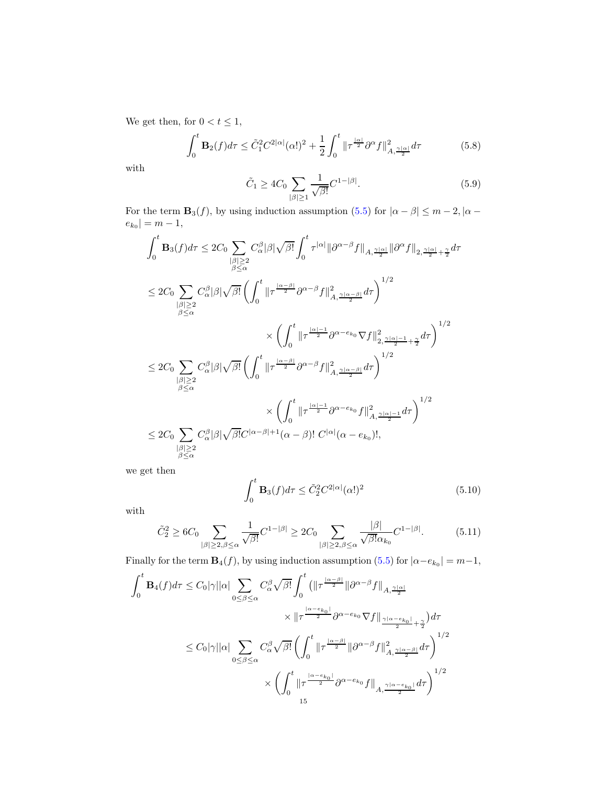We get then, for  $0 < t \leq 1$ ,

<span id="page-14-2"></span>
$$
\int_0^t \mathbf{B}_2(f)d\tau \le \tilde{C}_1^2 C^{2|\alpha|}(\alpha!)^2 + \frac{1}{2} \int_0^t \|\tau^{\frac{|\alpha|}{2}} \partial^\alpha f\|_{A,\frac{\gamma|\alpha|}{2}}^2 d\tau \tag{5.8}
$$

with

<span id="page-14-0"></span>
$$
\tilde{C}_1 \ge 4C_0 \sum_{|\beta| \ge 1} \frac{1}{\sqrt{\beta!}} C^{1-|\beta|}.
$$
\n(5.9)

For the term  $\mathbf{B}_3(f)$ , by using induction assumption [\(5.5\)](#page-12-4) for  $|\alpha - \beta| \le m - 2$ ,  $|\alpha - \beta|$  $|e_{k_0}| = m - 1,$ 

$$
\begin{split} &\int_{0}^{t}\mathbf{B}_{3}(f)d\tau\leq2C_{0}\sum_{\substack{|\beta|\geq2\\ \beta\leq\alpha}}C_{\alpha}^{\beta}|\beta|\sqrt{\beta!}\int_{0}^{t}\tau^{|\alpha|}\|\partial^{\alpha-\beta}f\|_{A,\frac{\gamma|\alpha|}{2}}\|\partial^{\alpha}f\|_{2,\frac{\gamma|\alpha|}{2}+\frac{\gamma}{2}}d\tau\\ &\leq2C_{0}\sum_{\substack{|\beta|\geq2\\ \beta\leq\alpha}}C_{\alpha}^{\beta}|\beta|\sqrt{\beta!}\left(\int_{0}^{t}\|\tau^{\frac{|\alpha-\beta|}{2}}\partial^{\alpha-\beta}f\|_{A,\frac{\gamma|\alpha-\beta|}{2}}^{2}d\tau\right)^{1/2}\\ &\times\left(\int_{0}^{t}\|\tau^{\frac{|\alpha|-1}{2}}\partial^{\alpha-e_{k_{0}}}\nabla f\|_{2,\frac{\gamma|\alpha|-1}{2}+\frac{\gamma}{2}}^{2}d\tau\right)^{1/2}\\ &\leq2C_{0}\sum_{\substack{|\beta|\geq2\\ \beta\leq\alpha}}C_{\alpha}^{\beta}|\beta|\sqrt{\beta!}\left(\int_{0}^{t}\|\tau^{\frac{|\alpha-\beta|}{2}}\partial^{\alpha-\beta}f\|_{A,\frac{\gamma|\alpha-\beta|}{2}}^{2}d\tau\right)^{1/2}\\ &\times\left(\int_{0}^{t}\|\tau^{\frac{|\alpha|-1}{2}}\partial^{\alpha-e_{k_{0}}}f\|_{A,\frac{\gamma|\alpha|-1}{2}}^{2}d\tau\right)^{1/2}\\ &\leq2C_{0}\sum_{\substack{|\beta|\geq2\\ \beta\leq\alpha}}C_{\alpha}^{\beta}|\beta|\sqrt{\beta!}C^{|\alpha-\beta|+1}(\alpha-\beta)!\ C^{|\alpha|}(\alpha-e_{k_{0}})!, \end{split}
$$

we get then

<span id="page-14-3"></span>
$$
\int_0^t \mathbf{B}_3(f)d\tau \le \tilde{C}_2^2 C^{2|\alpha|}(\alpha!)^2
$$
\n(5.10)

with

<span id="page-14-1"></span>
$$
\tilde{C}_2^2 \ge 6C_0 \sum_{|\beta| \ge 2, \beta \le \alpha} \frac{1}{\sqrt{\beta!}} C^{1-|\beta|} \ge 2C_0 \sum_{|\beta| \ge 2, \beta \le \alpha} \frac{|\beta|}{\sqrt{\beta!} \alpha_{k_0}} C^{1-|\beta|}.
$$
 (5.11)

Finally for the term  $\mathbf{B}_4(f)$ , by using induction assumption [\(5.5\)](#page-12-4) for  $|\alpha - e_{k_0}| = m - 1$ ,

$$
\int_{0}^{t} \mathbf{B}_{4}(f) d\tau \leq C_{0} |\gamma| |\alpha| \sum_{0 \leq \beta \leq \alpha} C_{\alpha}^{\beta} \sqrt{\beta!} \int_{0}^{t} \left( \left\| \tau^{\frac{|\alpha-\beta|}{2}} \right\| \partial^{\alpha-\beta} f \right\|_{A, \frac{\gamma|\alpha|}{2}} \times \left\| \tau^{\frac{|\alpha-\epsilon_{k_{0}}|}{2}} \partial^{\alpha-\epsilon_{k_{0}}} \nabla f \right\|_{\frac{\gamma|\alpha-\epsilon_{k_{0}}|}{2} + \frac{\gamma}{2}} d\tau \leq C_{0} |\gamma| |\alpha| \sum_{0 \leq \beta \leq \alpha} C_{\alpha}^{\beta} \sqrt{\beta!} \left( \int_{0}^{t} \left\| \tau^{\frac{|\alpha-\beta|}{2}} \right\| \partial^{\alpha-\beta} f \right\|_{A, \frac{\gamma|\alpha-\beta|}{2}}^{2} d\tau \right)^{1/2} \times \left( \int_{0}^{t} \left\| \tau^{\frac{|\alpha-\epsilon_{k_{0}}|}{2}} \partial^{\alpha-\epsilon_{k_{0}}} f \right\|_{A, \frac{\gamma|\alpha-\epsilon_{k_{0}}|}{2}} d\tau \right)^{1/2} \n15
$$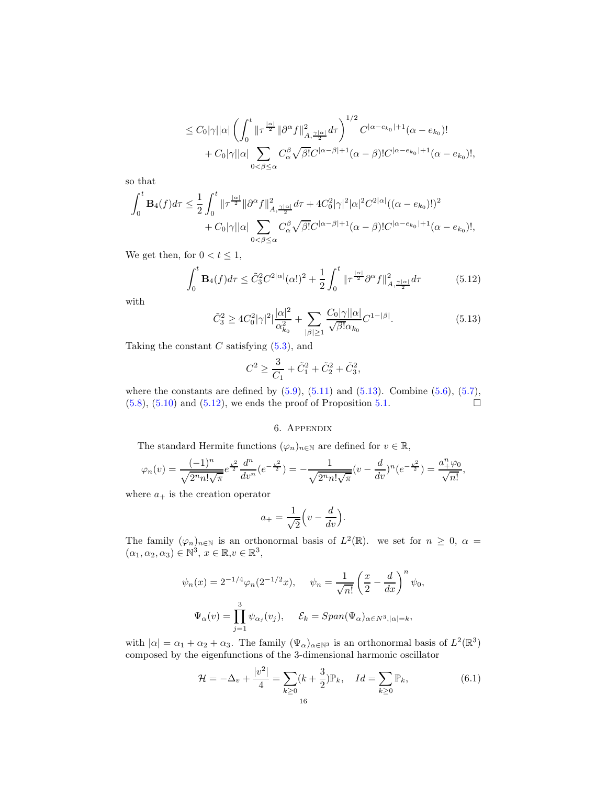$$
\leq C_0|\gamma||\alpha|\left(\int_0^t \|\tau^{\frac{|\alpha|}{2}}\|\partial^{\alpha}f\|_{A,\frac{\gamma|\alpha|}{2}}^2 d\tau\right)^{1/2}C^{|\alpha-e_{k_0}|+1}(\alpha-e_{k_0})! + C_0|\gamma||\alpha|\sum_{0<\beta\leq\alpha}C_{\alpha}^{\beta}\sqrt{\beta!}C^{|\alpha-\beta|+1}(\alpha-\beta)!C^{|\alpha-e_{k_0}|+1}(\alpha-e_{k_0})!,
$$

so that

$$
\int_0^t \mathbf{B}_4(f) d\tau \leq \frac{1}{2} \int_0^t \|\tau^{\frac{|\alpha|}{2}} \|\partial^{\alpha} f\|_{A, \frac{\gamma |\alpha|}{2}}^2 d\tau + 4C_0^2 |\gamma|^2 |\alpha|^2 C^{2|\alpha|} ((\alpha - e_{k_0})!)^2 + C_0 |\gamma| |\alpha| \sum_{0 < \beta \leq \alpha} C_{\alpha}^{\beta} \sqrt{\beta!} C^{|\alpha - \beta| + 1} (\alpha - \beta)! C^{|\alpha - e_{k_0}| + 1} (\alpha - e_{k_0})!,
$$

We get then, for  $0 < t \leq 1$ ,

<span id="page-15-2"></span>
$$
\int_0^t \mathbf{B}_4(f) d\tau \le \tilde{C}_3^2 C^{2|\alpha|}(\alpha!)^2 + \frac{1}{2} \int_0^t \|\tau^{\frac{|\alpha|}{2}} \partial^\alpha f\|_{A, \frac{\gamma |\alpha|}{2}}^2 d\tau \tag{5.12}
$$

with

<span id="page-15-1"></span>
$$
\tilde{C}_3^2 \ge 4C_0^2 |\gamma|^2 \left| \frac{|\alpha|^2}{\alpha_{k_0}^2} + \sum_{|\beta| \ge 1} \frac{C_0 |\gamma| |\alpha|}{\sqrt{\beta!} \alpha_{k_0}} C^{1-|\beta|} \right|.
$$
\n(5.13)

Taking the constant  $C$  satisfying  $(5.3)$ , and

$$
C^2 \ge \frac{3}{C_1} + \tilde{C}_1^2 + \tilde{C}_2^2 + \tilde{C}_3^2,
$$

<span id="page-15-0"></span>where the constants are defined by  $(5.9)$ ,  $(5.11)$  and  $(5.13)$ . Combine  $(5.6)$ ,  $(5.7)$ ,  $(5.8), (5.10)$  $(5.8), (5.10)$  $(5.8), (5.10)$  and  $(5.12)$ , we ends the proof of Proposition [5.1.](#page-12-5)

### 6. Appendix

The standard Hermite functions  $(\varphi_n)_{n\in\mathbb{N}}$  are defined for  $v \in \mathbb{R}$ ,

$$
\varphi_n(v) = \frac{(-1)^n}{\sqrt{2^n n! \sqrt{\pi}}} e^{\frac{v^2}{2}} \frac{d^n}{dv^n} (e^{-\frac{v^2}{2}}) = -\frac{1}{\sqrt{2^n n! \sqrt{\pi}}} (v - \frac{d}{dv})^n (e^{-\frac{v^2}{2}}) = \frac{a_+^n \varphi_0}{\sqrt{n!}},
$$

where  $a_+$  is the creation operator

$$
a_{+} = \frac{1}{\sqrt{2}} \left( v - \frac{d}{dv} \right).
$$

The family  $(\varphi_n)_{n\in\mathbb{N}}$  is an orthonormal basis of  $L^2(\mathbb{R})$ . we set for  $n \geq 0$ ,  $\alpha =$  $(\alpha_1, \alpha_2, \alpha_3) \in \mathbb{N}^3$ ,  $x \in \mathbb{R}, v \in \mathbb{R}^3$ ,

$$
\psi_n(x) = 2^{-1/4} \varphi_n(2^{-1/2} x), \quad \psi_n = \frac{1}{\sqrt{n!}} \left(\frac{x}{2} - \frac{d}{dx}\right)^n \psi_0,
$$

$$
\Psi_\alpha(v) = \prod_{j=1}^3 \psi_{\alpha_j}(v_j), \quad \mathcal{E}_k = Span(\Psi_\alpha)_{\alpha \in N^3, |\alpha| = k},
$$

with  $|\alpha| = \alpha_1 + \alpha_2 + \alpha_3$ . The family  $(\Psi_\alpha)_{\alpha \in \mathbb{N}^3}$  is an orthonormal basis of  $L^2(\mathbb{R}^3)$ composed by the eigenfunctions of the 3-dimensional harmonic oscillator

$$
\mathcal{H} = -\Delta_v + \frac{|v^2|}{4} = \sum_{k \ge 0} (k + \frac{3}{2}) \mathbb{P}_k, \quad Id = \sum_{k \ge 0} \mathbb{P}_k,
$$
(6.1)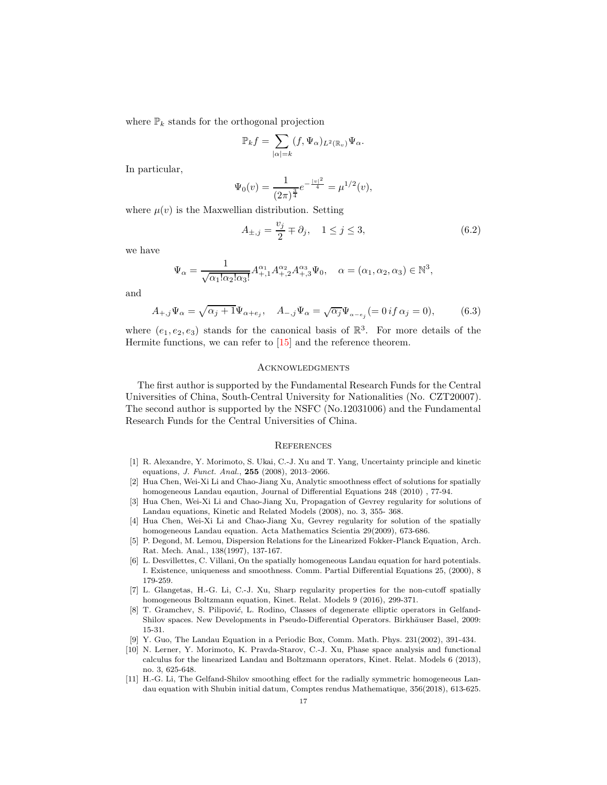where  $\mathbb{P}_k$  stands for the orthogonal projection

$$
\mathbb{P}_k f = \sum_{|\alpha|=k} (f, \Psi_\alpha)_{L^2(\mathbb{R}_v)} \Psi_\alpha.
$$

In particular,

$$
\Psi_0(v) = \frac{1}{(2\pi)^{\frac{3}{4}}}e^{-\frac{|v|^2}{4}} = \mu^{1/2}(v),
$$

where  $\mu(v)$  is the Maxwellian distribution. Setting

<span id="page-16-9"></span>
$$
A_{\pm,j} = \frac{v_j}{2} \mp \partial_j, \quad 1 \le j \le 3,
$$
\n
$$
(6.2)
$$

we have

$$
\Psi_{\alpha} = \frac{1}{\sqrt{\alpha_1! \alpha_2! \alpha_3!}} A_{+,1}^{\alpha_1} A_{+,2}^{\alpha_2} A_{+,3}^{\alpha_3} \Psi_0, \quad \alpha = (\alpha_1, \alpha_2, \alpha_3) \in \mathbb{N}^3,
$$

and

<span id="page-16-8"></span>
$$
A_{+,j}\Psi_{\alpha} = \sqrt{\alpha_j + 1}\Psi_{\alpha + e_j}, \quad A_{-,j}\Psi_{\alpha} = \sqrt{\alpha_j}\Psi_{\alpha - e_j} (= 0 \text{ if } \alpha_j = 0), \tag{6.3}
$$

where  $(e_1, e_2, e_3)$  stands for the canonical basis of  $\mathbb{R}^3$ . For more details of the Hermite functions, we can refer to [\[15\]](#page-17-2) and the reference theorem.

#### **ACKNOWLEDGMENTS**

The first author is supported by the Fundamental Research Funds for the Central Universities of China, South-Central University for Nationalities (No. CZT20007). The second author is supported by the NSFC (No.12031006) and the Fundamental Research Funds for the Central Universities of China.

### **REFERENCES**

- <span id="page-16-10"></span>[1] R. Alexandre, Y. Morimoto, S. Ukai, C.-J. Xu and T. Yang, Uncertainty principle and kinetic equations, J. Funct. Anal., 255 (2008), 2013–2066.
- <span id="page-16-3"></span>[2] Hua Chen, Wei-Xi Li and Chao-Jiang Xu, Analytic smoothness effect of solutions for spatially homogeneous Landau eqaution, Journal of Differential Equations 248 (2010) , 77-94.
- <span id="page-16-4"></span>[3] Hua Chen, Wei-Xi Li and Chao-Jiang Xu, Propagation of Gevrey regularity for solutions of Landau equations, Kinetic and Related Models (2008), no. 3, 355- 368.
- <span id="page-16-2"></span>[4] Hua Chen, Wei-Xi Li and Chao-Jiang Xu, Gevrey regularity for solution of the spatially homogeneous Landau equation. Acta Mathematics Scientia 29(2009), 673-686.
- <span id="page-16-7"></span>[5] P. Degond, M. Lemou, Dispersion Relations for the Linearized Fokker-Planck Equation, Arch. Rat. Mech. Anal., 138(1997), 137-167.
- <span id="page-16-1"></span>[6] L. Desvillettes, C. Villani, On the spatially homogeneous Landau equation for hard potentials. I. Existence, uniqueness and smoothness. Comm. Partial Differential Equations 25, (2000), 8 179-259.
- [7] L. Glangetas, H.-G. Li, C.-J. Xu, Sharp regularity properties for the non-cutoff spatially homogeneous Boltzmann equation, Kinet. Relat. Models 9 (2016), 299-371.
- [8] T. Gramchev, S. Pilipović, L. Rodino, Classes of degenerate elliptic operators in Gelfand-Shilov spaces. New Developments in Pseudo-Differential Operators. Birkhäuser Basel, 2009: 15-31.
- <span id="page-16-5"></span><span id="page-16-0"></span>[9] Y. Guo, The Landau Equation in a Periodic Box, Comm. Math. Phys. 231(2002), 391-434.
- [10] N. Lerner, Y. Morimoto, K. Pravda-Starov, C.-J. Xu, Phase space analysis and functional calculus for the linearized Landau and Boltzmann operators, Kinet. Relat. Models 6 (2013), no. 3, 625-648.
- <span id="page-16-6"></span>[11] H.-G. Li, The Gelfand-Shilov smoothing effect for the radially symmetric homogeneous Landau equation with Shubin initial datum, Comptes rendus Mathematique, 356(2018), 613-625.